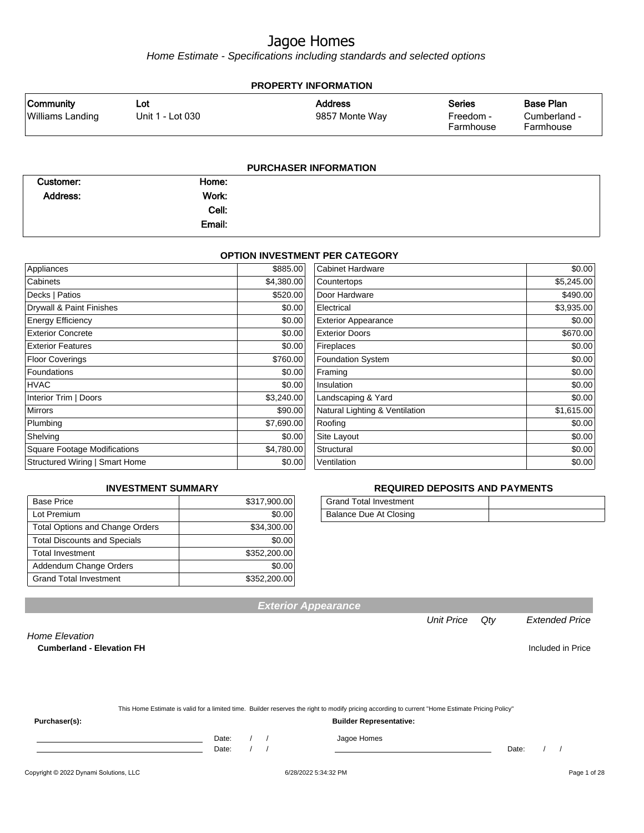Home Estimate - Specifications including standards and selected options

| <b>PROPERTY INFORMATION</b>                 |                         |                                  |                                         |                                               |  |
|---------------------------------------------|-------------------------|----------------------------------|-----------------------------------------|-----------------------------------------------|--|
| <b>Community</b><br><b>Williams Landing</b> | Lot<br>Unit 1 - Lot 030 | <b>Address</b><br>9857 Monte Way | <b>Series</b><br>Freedom -<br>Farmhouse | <b>Base Plan</b><br>Cumberland -<br>Farmhouse |  |
|                                             |                         | <b>PURCHASER INFORMATION</b>     |                                         |                                               |  |

| Customer: | Home:  |  |
|-----------|--------|--|
| Address:  | Work:  |  |
|           | Cell:  |  |
|           | Email: |  |

#### **OPTION INVESTMENT PER CATEGORY**

| Appliances                            | \$885.00   | <b>Cabinet Hardware</b>        | \$0.00     |
|---------------------------------------|------------|--------------------------------|------------|
| Cabinets                              | \$4,380.00 | Countertops                    | \$5,245.00 |
| Decks   Patios                        | \$520.00   | Door Hardware                  | \$490.00   |
| Drywall & Paint Finishes              | \$0.00     | Electrical                     | \$3,935.00 |
| <b>Energy Efficiency</b>              | \$0.00     | <b>Exterior Appearance</b>     | \$0.00     |
| <b>Exterior Concrete</b>              | \$0.00     | <b>Exterior Doors</b>          | \$670.00   |
| <b>Exterior Features</b>              | \$0.00     | Fireplaces                     | \$0.00     |
| <b>Floor Coverings</b>                | \$760.00   | Foundation System              | \$0.00     |
| <b>Foundations</b>                    | \$0.00     | Framing                        | \$0.00     |
| <b>HVAC</b>                           | \$0.00     | Insulation                     | \$0.00     |
| Interior Trim   Doors                 | \$3,240.00 | Landscaping & Yard             | \$0.00     |
| <b>Mirrors</b>                        | \$90.00    | Natural Lighting & Ventilation | \$1,615.00 |
| Plumbing                              | \$7,690.00 | Roofing                        | \$0.00     |
| Shelving                              | \$0.00     | Site Layout                    | \$0.00     |
| <b>Square Footage Modifications</b>   | \$4,780.00 | Structural                     | \$0.00     |
| <b>Structured Wiring   Smart Home</b> | \$0.00     | Ventilation                    | \$0.00     |

#### **INVESTMENT SUMMARY**

| <b>Base Price</b>                      | \$317,900.00 |
|----------------------------------------|--------------|
| Lot Premium                            | \$0.00       |
| <b>Total Options and Change Orders</b> | \$34,300.00  |
| <b>Total Discounts and Specials</b>    | \$0.00       |
| <b>Total Investment</b>                | \$352,200.00 |
| Addendum Change Orders                 | \$0.00       |
| <b>Grand Total Investment</b>          | \$352,200.00 |

#### **REQUIRED DEPOSITS AND PAYMENTS**

| <b>Grand Total Investment</b> |  |
|-------------------------------|--|
| Balance Due At Closing        |  |

**Exterior Appearance**

Unit Price Qty Extended Price

Home Elevation

**Cumberland - Elevation FH Included in Price** 

|  | This Home Estimate is valid for a limited time. Builder reserves the right to modify pricing according to current "Home Estimate Pricing Policy" |
|--|--------------------------------------------------------------------------------------------------------------------------------------------------|
|--|--------------------------------------------------------------------------------------------------------------------------------------------------|

**Purchaser(s): Builder Representative:**

Date: / / Jagoe Homes<br>Date: / / Jagoe Homes

Date: / / Date: / /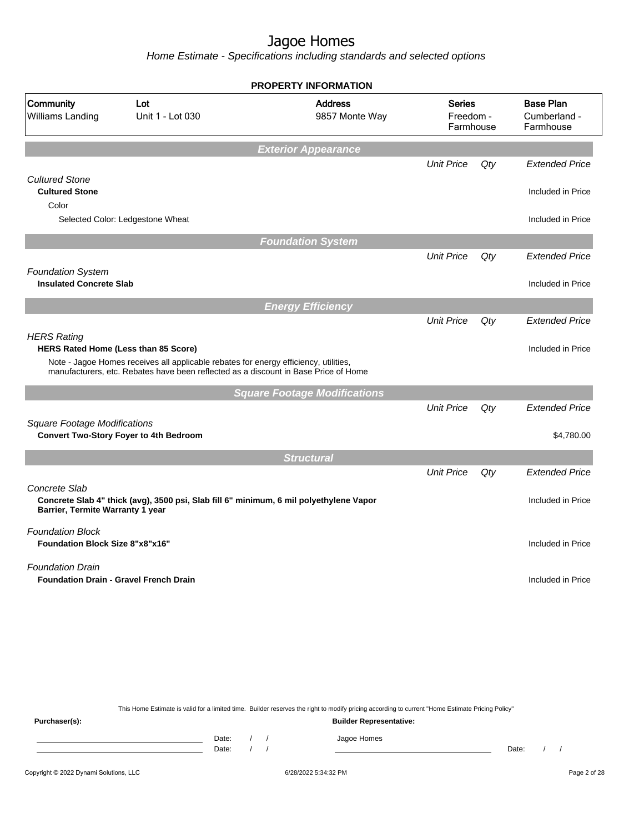Home Estimate - Specifications including standards and selected options

| Community<br>Williams Landing                                     | Lot<br>Unit 1 - Lot 030                                                                                                                                                     | <b>Address</b><br>9857 Monte Way    | <b>Series</b><br>Freedom -<br>Farmhouse |     | <b>Base Plan</b><br>Cumberland -<br>Farmhouse |
|-------------------------------------------------------------------|-----------------------------------------------------------------------------------------------------------------------------------------------------------------------------|-------------------------------------|-----------------------------------------|-----|-----------------------------------------------|
|                                                                   |                                                                                                                                                                             | <b>Exterior Appearance</b>          |                                         |     |                                               |
|                                                                   |                                                                                                                                                                             |                                     | <b>Unit Price</b>                       | Qty | <b>Extended Price</b>                         |
| <b>Cultured Stone</b><br><b>Cultured Stone</b>                    |                                                                                                                                                                             |                                     |                                         |     | Included in Price                             |
| Color                                                             | Selected Color: Ledgestone Wheat                                                                                                                                            |                                     |                                         |     | Included in Price                             |
|                                                                   |                                                                                                                                                                             | <b>Foundation System</b>            |                                         |     |                                               |
|                                                                   |                                                                                                                                                                             |                                     | <b>Unit Price</b>                       | Qty | <b>Extended Price</b>                         |
| <b>Foundation System</b><br><b>Insulated Concrete Slab</b>        |                                                                                                                                                                             |                                     |                                         |     | Included in Price                             |
|                                                                   |                                                                                                                                                                             | <b>Energy Efficiency</b>            |                                         |     |                                               |
| <b>HERS Rating</b>                                                |                                                                                                                                                                             |                                     | <b>Unit Price</b>                       | Qty | <b>Extended Price</b>                         |
| HERS Rated Home (Less than 85 Score)                              | Note - Jagoe Homes receives all applicable rebates for energy efficiency, utilities,<br>manufacturers, etc. Rebates have been reflected as a discount in Base Price of Home |                                     |                                         |     | Included in Price                             |
|                                                                   |                                                                                                                                                                             | <b>Square Footage Modifications</b> |                                         |     |                                               |
|                                                                   |                                                                                                                                                                             |                                     | <b>Unit Price</b>                       | Qty | <b>Extended Price</b>                         |
|                                                                   |                                                                                                                                                                             |                                     |                                         |     |                                               |
|                                                                   | <b>Convert Two-Story Foyer to 4th Bedroom</b>                                                                                                                               |                                     |                                         |     |                                               |
|                                                                   |                                                                                                                                                                             | <b>Structural</b>                   |                                         |     |                                               |
| <b>Square Footage Modifications</b>                               |                                                                                                                                                                             |                                     | <b>Unit Price</b>                       | Qty | \$4,780.00<br><b>Extended Price</b>           |
| Concrete Slab<br>Barrier, Termite Warranty 1 year                 | Concrete Slab 4" thick (avg), 3500 psi, Slab fill 6" minimum, 6 mil polyethylene Vapor                                                                                      |                                     |                                         |     | Included in Price                             |
| <b>Foundation Block</b><br><b>Foundation Block Size 8"x8"x16"</b> |                                                                                                                                                                             |                                     |                                         |     | Included in Price                             |

This Home Estimate is valid for a limited time. Builder reserves the right to modify pricing according to current "Home Estimate Pricing Policy"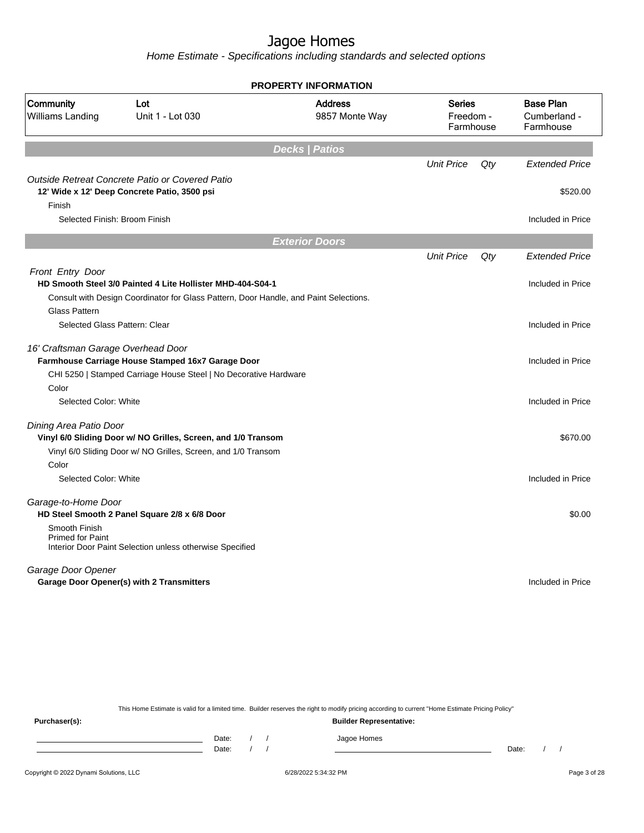Home Estimate - Specifications including standards and selected options

|                                          |                                                                                       | <b>PROPERTY INFORMATION</b>      |                                         |     |                                               |
|------------------------------------------|---------------------------------------------------------------------------------------|----------------------------------|-----------------------------------------|-----|-----------------------------------------------|
| Community<br><b>Williams Landing</b>     | Lot<br>Unit 1 - Lot 030                                                               | <b>Address</b><br>9857 Monte Way | <b>Series</b><br>Freedom -<br>Farmhouse |     | <b>Base Plan</b><br>Cumberland -<br>Farmhouse |
|                                          |                                                                                       | <b>Decks   Patios</b>            |                                         |     |                                               |
|                                          |                                                                                       |                                  | <b>Unit Price</b>                       | Qty | <b>Extended Price</b>                         |
|                                          | Outside Retreat Concrete Patio or Covered Patio                                       |                                  |                                         |     |                                               |
|                                          | 12' Wide x 12' Deep Concrete Patio, 3500 psi                                          |                                  |                                         |     | \$520.00                                      |
| Finish                                   |                                                                                       |                                  |                                         |     |                                               |
| Selected Finish: Broom Finish            |                                                                                       |                                  |                                         |     | Included in Price                             |
|                                          |                                                                                       | <b>Exterior Doors</b>            |                                         |     |                                               |
|                                          |                                                                                       |                                  | <b>Unit Price</b>                       | Qty | <b>Extended Price</b>                         |
| <b>Front Entry Door</b>                  |                                                                                       |                                  |                                         |     |                                               |
|                                          | HD Smooth Steel 3/0 Painted 4 Lite Hollister MHD-404-S04-1                            |                                  |                                         |     | Included in Price                             |
|                                          | Consult with Design Coordinator for Glass Pattern, Door Handle, and Paint Selections. |                                  |                                         |     |                                               |
| <b>Glass Pattern</b>                     |                                                                                       |                                  |                                         |     |                                               |
| Selected Glass Pattern: Clear            |                                                                                       |                                  |                                         |     | Included in Price                             |
| 16' Craftsman Garage Overhead Door       |                                                                                       |                                  |                                         |     |                                               |
|                                          | Farmhouse Carriage House Stamped 16x7 Garage Door                                     |                                  |                                         |     | Included in Price                             |
|                                          | CHI 5250   Stamped Carriage House Steel   No Decorative Hardware                      |                                  |                                         |     |                                               |
| Color                                    |                                                                                       |                                  |                                         |     |                                               |
| Selected Color: White                    |                                                                                       |                                  |                                         |     | Included in Price                             |
| Dining Area Patio Door                   |                                                                                       |                                  |                                         |     |                                               |
|                                          | Vinyl 6/0 Sliding Door w/ NO Grilles, Screen, and 1/0 Transom                         |                                  |                                         |     | \$670.00                                      |
|                                          | Vinyl 6/0 Sliding Door w/ NO Grilles, Screen, and 1/0 Transom                         |                                  |                                         |     |                                               |
| Color                                    |                                                                                       |                                  |                                         |     |                                               |
| Selected Color: White                    |                                                                                       |                                  |                                         |     | Included in Price                             |
| Garage-to-Home Door                      |                                                                                       |                                  |                                         |     |                                               |
|                                          | HD Steel Smooth 2 Panel Square 2/8 x 6/8 Door                                         |                                  |                                         |     | \$0.00                                        |
| Smooth Finish<br><b>Primed for Paint</b> | Interior Door Paint Selection unless otherwise Specified                              |                                  |                                         |     |                                               |
| Garage Door Opener                       |                                                                                       |                                  |                                         |     |                                               |
|                                          | Garage Door Opener(s) with 2 Transmitters                                             |                                  |                                         |     | Included in Price                             |
|                                          |                                                                                       |                                  |                                         |     |                                               |
|                                          |                                                                                       |                                  |                                         |     |                                               |

This Home Estimate is valid for a limited time. Builder reserves the right to modify pricing according to current "Home Estimate Pricing Policy"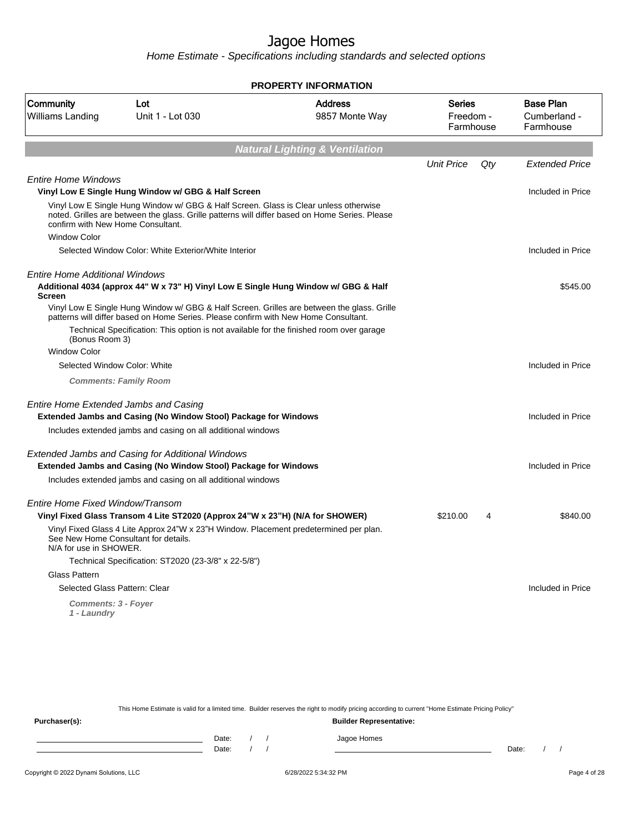Home Estimate - Specifications including standards and selected options

| <b>PROPERTY INFORMATION</b>                                                                                                                                                                                                                 |                                         |                                               |
|---------------------------------------------------------------------------------------------------------------------------------------------------------------------------------------------------------------------------------------------|-----------------------------------------|-----------------------------------------------|
| Community<br><b>Address</b><br>Lot<br><b>Williams Landing</b><br>Unit 1 - Lot 030<br>9857 Monte Way                                                                                                                                         | <b>Series</b><br>Freedom -<br>Farmhouse | <b>Base Plan</b><br>Cumberland -<br>Farmhouse |
| <b>Natural Lighting &amp; Ventilation</b>                                                                                                                                                                                                   |                                         |                                               |
|                                                                                                                                                                                                                                             | <b>Unit Price</b><br>Qty                | <b>Extended Price</b>                         |
| <b>Entire Home Windows</b><br>Vinyl Low E Single Hung Window w/ GBG & Half Screen                                                                                                                                                           |                                         | Included in Price                             |
| Vinyl Low E Single Hung Window w/ GBG & Half Screen. Glass is Clear unless otherwise<br>noted. Grilles are between the glass. Grille patterns will differ based on Home Series. Please<br>confirm with New Home Consultant.                 |                                         |                                               |
| <b>Window Color</b>                                                                                                                                                                                                                         |                                         |                                               |
| Selected Window Color: White Exterior/White Interior                                                                                                                                                                                        |                                         | Included in Price                             |
| <b>Entire Home Additional Windows</b><br>Additional 4034 (approx 44" W x 73" H) Vinyl Low E Single Hung Window w/ GBG & Half<br><b>Screen</b><br>Vinyl Low E Single Hung Window w/ GBG & Half Screen. Grilles are between the glass. Grille |                                         | \$545.00                                      |
| patterns will differ based on Home Series. Please confirm with New Home Consultant.                                                                                                                                                         |                                         |                                               |
| Technical Specification: This option is not available for the finished room over garage<br>(Bonus Room 3)                                                                                                                                   |                                         |                                               |
| <b>Window Color</b>                                                                                                                                                                                                                         |                                         |                                               |
| Selected Window Color: White                                                                                                                                                                                                                |                                         | Included in Price                             |
| <b>Comments: Family Room</b>                                                                                                                                                                                                                |                                         |                                               |
| Entire Home Extended Jambs and Casing<br>Extended Jambs and Casing (No Window Stool) Package for Windows                                                                                                                                    |                                         | Included in Price                             |
| Includes extended jambs and casing on all additional windows                                                                                                                                                                                |                                         |                                               |
| Extended Jambs and Casing for Additional Windows<br>Extended Jambs and Casing (No Window Stool) Package for Windows                                                                                                                         |                                         | Included in Price                             |
| Includes extended jambs and casing on all additional windows                                                                                                                                                                                |                                         |                                               |
| Entire Home Fixed Window/Transom                                                                                                                                                                                                            |                                         |                                               |
| Vinyl Fixed Glass Transom 4 Lite ST2020 (Approx 24"W x 23"H) (N/A for SHOWER)                                                                                                                                                               | \$210.00<br>4                           | \$840.00                                      |
| Vinyl Fixed Glass 4 Lite Approx 24"W x 23"H Window. Placement predetermined per plan.<br>See New Home Consultant for details.<br>N/A for use in SHOWER.                                                                                     |                                         |                                               |
| Technical Specification: ST2020 (23-3/8" x 22-5/8")                                                                                                                                                                                         |                                         |                                               |
| <b>Glass Pattern</b>                                                                                                                                                                                                                        |                                         |                                               |
| Selected Glass Pattern: Clear                                                                                                                                                                                                               |                                         | Included in Price                             |
| <b>Comments: 3 - Foyer</b><br>1 - Laundry                                                                                                                                                                                                   |                                         |                                               |

This Home Estimate is valid for a limited time. Builder reserves the right to modify pricing according to current "Home Estimate Pricing Policy" **Purchaser(s): Builder Representative:** Date: / / Jagoe Homes<br>Date: / / Jagoe Homes Date: / / **Date: / / 2006** Date: / / / Date: / / / Date: / / / 2006 Date: / / / 2006 Date: / / / 2006 Date: / / / 2006 Date: / / / 2007 Date: / / / 2007 Date: / / / 2007 Date: / / / 2007 Date: / / / 2007 Date: / / / 2007 D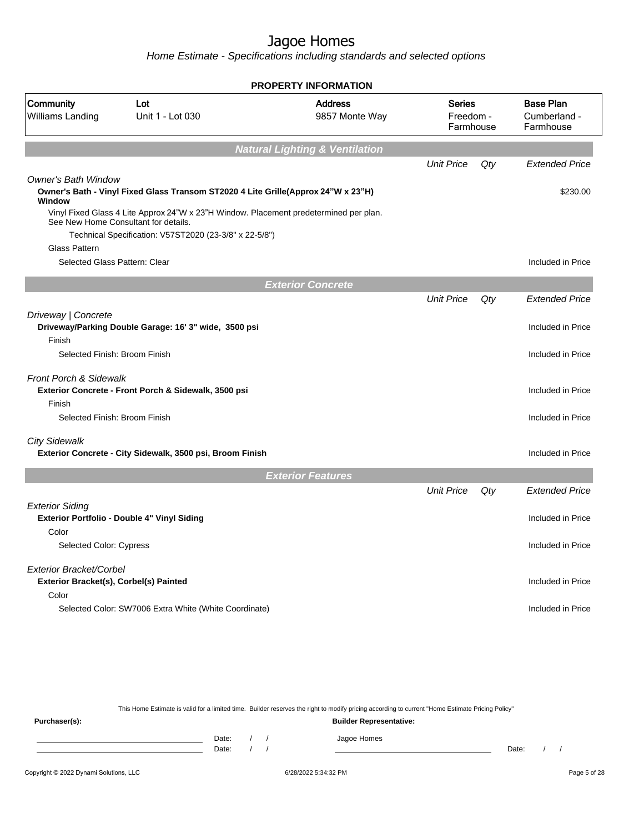Home Estimate - Specifications including standards and selected options

|                                                                   |                                                                                                                                                                                         | <b>PROPERTY INFORMATION</b>               |                                         |     |                                               |
|-------------------------------------------------------------------|-----------------------------------------------------------------------------------------------------------------------------------------------------------------------------------------|-------------------------------------------|-----------------------------------------|-----|-----------------------------------------------|
| Community<br>Williams Landing                                     | Lot<br>Unit 1 - Lot 030                                                                                                                                                                 | <b>Address</b><br>9857 Monte Way          | <b>Series</b><br>Freedom -<br>Farmhouse |     | <b>Base Plan</b><br>Cumberland -<br>Farmhouse |
|                                                                   |                                                                                                                                                                                         | <b>Natural Lighting &amp; Ventilation</b> |                                         |     |                                               |
|                                                                   |                                                                                                                                                                                         |                                           | <b>Unit Price</b>                       | Qty | <b>Extended Price</b>                         |
| <b>Owner's Bath Window</b><br>Window                              | Owner's Bath - Vinyl Fixed Glass Transom ST2020 4 Lite Grille(Approx 24"W x 23"H)                                                                                                       |                                           |                                         |     | \$230.00                                      |
|                                                                   | Vinyl Fixed Glass 4 Lite Approx 24"W x 23"H Window. Placement predetermined per plan.<br>See New Home Consultant for details.<br>Technical Specification: V57ST2020 (23-3/8" x 22-5/8") |                                           |                                         |     |                                               |
| <b>Glass Pattern</b>                                              |                                                                                                                                                                                         |                                           |                                         |     |                                               |
| Selected Glass Pattern: Clear                                     |                                                                                                                                                                                         |                                           |                                         |     | Included in Price                             |
|                                                                   |                                                                                                                                                                                         | <b>Exterior Concrete</b>                  |                                         |     |                                               |
|                                                                   |                                                                                                                                                                                         |                                           | <b>Unit Price</b>                       | Qty | <b>Extended Price</b>                         |
| Driveway   Concrete                                               | Driveway/Parking Double Garage: 16' 3" wide, 3500 psi                                                                                                                                   |                                           |                                         |     | Included in Price                             |
| Finish<br>Selected Finish: Broom Finish                           |                                                                                                                                                                                         |                                           |                                         |     | Included in Price                             |
| <b>Front Porch &amp; Sidewalk</b>                                 | Exterior Concrete - Front Porch & Sidewalk, 3500 psi                                                                                                                                    |                                           |                                         |     | Included in Price                             |
| Finish<br>Selected Finish: Broom Finish                           |                                                                                                                                                                                         |                                           |                                         |     | Included in Price                             |
| <b>City Sidewalk</b>                                              | Exterior Concrete - City Sidewalk, 3500 psi, Broom Finish                                                                                                                               |                                           |                                         |     | Included in Price                             |
|                                                                   |                                                                                                                                                                                         | <b>Exterior Features</b>                  |                                         |     |                                               |
|                                                                   |                                                                                                                                                                                         |                                           | <b>Unit Price</b>                       | Qty | <b>Extended Price</b>                         |
| <b>Exterior Siding</b><br>Color                                   | Exterior Portfolio - Double 4" Vinyl Siding                                                                                                                                             |                                           |                                         |     | Included in Price                             |
| <b>Selected Color: Cypress</b>                                    |                                                                                                                                                                                         |                                           |                                         |     | Included in Price                             |
| Exterior Bracket/Corbel<br>Exterior Bracket(s), Corbel(s) Painted |                                                                                                                                                                                         |                                           |                                         |     | Included in Price                             |
| Color                                                             | Selected Color: SW7006 Extra White (White Coordinate)                                                                                                                                   |                                           |                                         |     | Included in Price                             |
|                                                                   |                                                                                                                                                                                         |                                           |                                         |     |                                               |

This Home Estimate is valid for a limited time. Builder reserves the right to modify pricing according to current "Home Estimate Pricing Policy" **Purchaser(s): Builder Representative:** Date: / / Jagoe Homes<br>Date: / / Jagoe Homes Date: / / **Date: / / 2006** Date: / / / Date: / / / Date: / / / 2006 Date: / / / 2006 Date: / / / 2006 Date: / / / 2006 Date: / / / 2007 Date: / / / 2007 Date: / / / 2007 Date: / / / 2007 Date: / / / 2007 Date: / / / 2007 D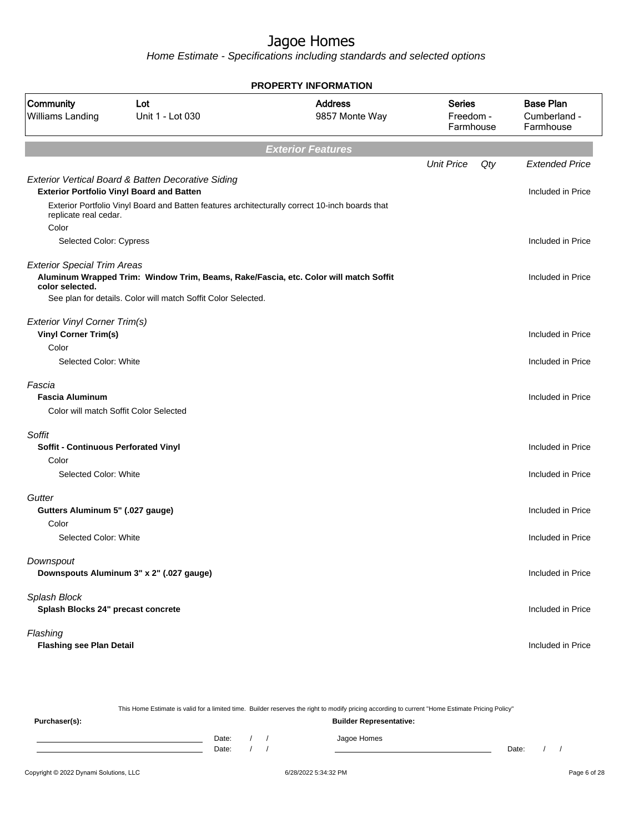Home Estimate - Specifications including standards and selected options

|                                                       |                                                                                                | <b>PROPERTY INFORMATION</b>      |                                  |     |                                               |
|-------------------------------------------------------|------------------------------------------------------------------------------------------------|----------------------------------|----------------------------------|-----|-----------------------------------------------|
| Community<br>Williams Landing                         | Lot<br>Unit 1 - Lot 030                                                                        | <b>Address</b><br>9857 Monte Way | Series<br>Freedom -<br>Farmhouse |     | <b>Base Plan</b><br>Cumberland -<br>Farmhouse |
|                                                       |                                                                                                | <b>Exterior Features</b>         |                                  |     |                                               |
|                                                       |                                                                                                |                                  | <b>Unit Price</b>                | Qty | <b>Extended Price</b>                         |
|                                                       | Exterior Vertical Board & Batten Decorative Siding                                             |                                  |                                  |     |                                               |
|                                                       | <b>Exterior Portfolio Vinyl Board and Batten</b>                                               |                                  |                                  |     | Included in Price                             |
| replicate real cedar.<br>Color                        | Exterior Portfolio Vinyl Board and Batten features architecturally correct 10-inch boards that |                                  |                                  |     |                                               |
| Selected Color: Cypress                               |                                                                                                |                                  |                                  |     | Included in Price                             |
|                                                       |                                                                                                |                                  |                                  |     |                                               |
| <b>Exterior Special Trim Areas</b><br>color selected. | Aluminum Wrapped Trim: Window Trim, Beams, Rake/Fascia, etc. Color will match Soffit           |                                  |                                  |     | Included in Price                             |
|                                                       | See plan for details. Color will match Soffit Color Selected.                                  |                                  |                                  |     |                                               |
| <b>Exterior Vinyl Corner Trim(s)</b>                  |                                                                                                |                                  |                                  |     |                                               |
| <b>Vinyl Corner Trim(s)</b>                           |                                                                                                |                                  |                                  |     | Included in Price                             |
| Color                                                 |                                                                                                |                                  |                                  |     |                                               |
| Selected Color: White                                 |                                                                                                |                                  |                                  |     | Included in Price                             |
| Fascia                                                |                                                                                                |                                  |                                  |     |                                               |
| <b>Fascia Aluminum</b>                                |                                                                                                |                                  |                                  |     | Included in Price                             |
| Color will match Soffit Color Selected                |                                                                                                |                                  |                                  |     |                                               |
| Soffit                                                |                                                                                                |                                  |                                  |     |                                               |
| Soffit - Continuous Perforated Vinyl                  |                                                                                                |                                  |                                  |     | Included in Price                             |
| Color                                                 |                                                                                                |                                  |                                  |     |                                               |
| Selected Color: White                                 |                                                                                                |                                  |                                  |     | Included in Price                             |
| Gutter                                                |                                                                                                |                                  |                                  |     |                                               |
| Gutters Aluminum 5" (.027 gauge)                      |                                                                                                |                                  |                                  |     | Included in Price                             |
| Color                                                 |                                                                                                |                                  |                                  |     |                                               |
| Selected Color: White                                 |                                                                                                |                                  |                                  |     | Included in Price                             |
| Downspout                                             |                                                                                                |                                  |                                  |     |                                               |
|                                                       | Downspouts Aluminum 3" x 2" (.027 gauge)                                                       |                                  |                                  |     | Included in Price                             |
|                                                       |                                                                                                |                                  |                                  |     |                                               |
| Splash Block<br>Splash Blocks 24" precast concrete    |                                                                                                |                                  |                                  |     | Included in Price                             |
| Flashing                                              |                                                                                                |                                  |                                  |     |                                               |
| <b>Flashing see Plan Detail</b>                       |                                                                                                |                                  |                                  |     | Included in Price                             |
|                                                       |                                                                                                |                                  |                                  |     |                                               |

Copyright © 2022 Dynami Solutions, LLC <br>
6/28/2022 5:34:32 PM 6/28/2022 5:34:32 PM This Home Estimate is valid for a limited time. Builder reserves the right to modify pricing according to current "Home Estimate Pricing Policy" **Purchaser(s): Builder Representative:** Date: / / Jagoe Homes<br>Date: / / Jagoe Homes Date: / / **Date: / / 2006** Date: / / **Date: / / / 2006** Date: / / / 2006 Date: / / / 2006 Date: / / / 2006 Date: / / / 2007 Date: / / / 2007 Date: / / / 2008 Date: / / / 2008 Date: / / / 2008 Date: / / / 2008 Date: / / / 2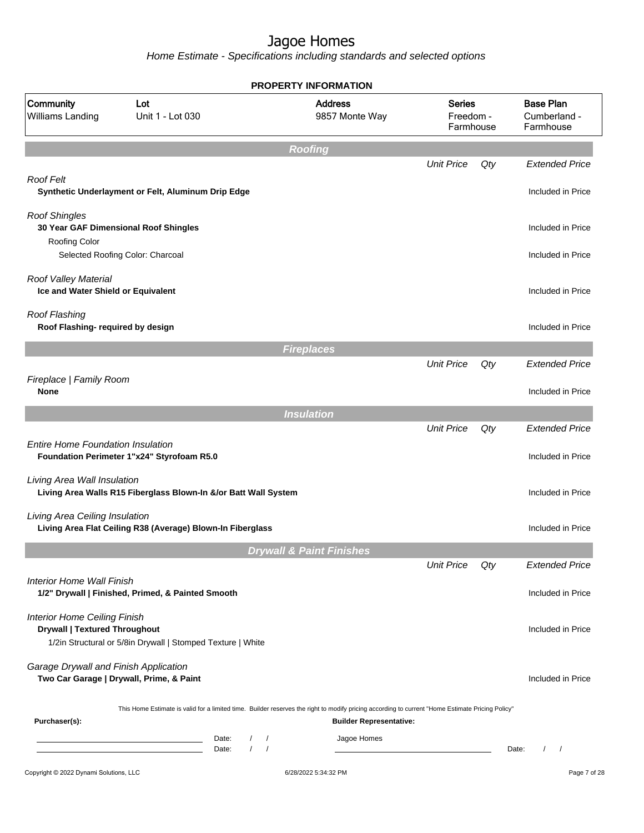|                                                                             |                                                                                                                                                               | <b>PROPERTY INFORMATION</b>                                                                                                                                                        |                                         |     |                                               |
|-----------------------------------------------------------------------------|---------------------------------------------------------------------------------------------------------------------------------------------------------------|------------------------------------------------------------------------------------------------------------------------------------------------------------------------------------|-----------------------------------------|-----|-----------------------------------------------|
| Community<br>Williams Landing                                               | Lot<br>Unit 1 - Lot 030                                                                                                                                       | <b>Address</b><br>9857 Monte Way                                                                                                                                                   | <b>Series</b><br>Freedom -<br>Farmhouse |     | <b>Base Plan</b><br>Cumberland -<br>Farmhouse |
|                                                                             |                                                                                                                                                               | <b>Roofing</b>                                                                                                                                                                     |                                         |     |                                               |
|                                                                             |                                                                                                                                                               |                                                                                                                                                                                    | <b>Unit Price</b>                       | Qty | <b>Extended Price</b>                         |
| Roof Felt                                                                   | Synthetic Underlayment or Felt, Aluminum Drip Edge                                                                                                            |                                                                                                                                                                                    |                                         |     | Included in Price                             |
| <b>Roof Shingles</b>                                                        | 30 Year GAF Dimensional Roof Shingles                                                                                                                         |                                                                                                                                                                                    |                                         |     | Included in Price                             |
| <b>Roofing Color</b>                                                        | Selected Roofing Color: Charcoal                                                                                                                              |                                                                                                                                                                                    |                                         |     | Included in Price                             |
| Roof Valley Material<br>Ice and Water Shield or Equivalent                  |                                                                                                                                                               |                                                                                                                                                                                    |                                         |     | Included in Price                             |
| Roof Flashing<br>Roof Flashing- required by design                          |                                                                                                                                                               |                                                                                                                                                                                    |                                         |     | Included in Price                             |
|                                                                             |                                                                                                                                                               | <b>Fireplaces</b>                                                                                                                                                                  |                                         |     |                                               |
|                                                                             |                                                                                                                                                               |                                                                                                                                                                                    | <b>Unit Price</b>                       | Qty | <b>Extended Price</b>                         |
| Fireplace   Family Room<br><b>None</b>                                      |                                                                                                                                                               |                                                                                                                                                                                    |                                         |     | Included in Price                             |
|                                                                             |                                                                                                                                                               | <b>Insulation</b>                                                                                                                                                                  |                                         |     |                                               |
|                                                                             |                                                                                                                                                               |                                                                                                                                                                                    | <b>Unit Price</b>                       | Qty | <b>Extended Price</b>                         |
| <b>Entire Home Foundation Insulation</b>                                    | Foundation Perimeter 1"x24" Styrofoam R5.0                                                                                                                    |                                                                                                                                                                                    |                                         |     | Included in Price                             |
| Living Area Wall Insulation                                                 | Living Area Walls R15 Fiberglass Blown-In &/or Batt Wall System                                                                                               |                                                                                                                                                                                    |                                         |     | Included in Price                             |
| Living Area Ceiling Insulation                                              | Living Area Flat Ceiling R38 (Average) Blown-In Fiberglass                                                                                                    |                                                                                                                                                                                    |                                         |     | Included in Price                             |
|                                                                             |                                                                                                                                                               | <b>Drywall &amp; Paint Finishes</b>                                                                                                                                                |                                         |     |                                               |
|                                                                             |                                                                                                                                                               |                                                                                                                                                                                    | <b>Unit Price</b>                       | Qty | <b>Extended Price</b>                         |
| <b>Interior Home Wall Finish</b>                                            | 1/2" Drywall   Finished, Primed, & Painted Smooth                                                                                                             |                                                                                                                                                                                    |                                         |     | Included in Price                             |
| <b>Interior Home Ceiling Finish</b><br><b>Drywall   Textured Throughout</b> | 1/2in Structural or 5/8in Drywall   Stomped Texture   White                                                                                                   |                                                                                                                                                                                    |                                         |     | Included in Price                             |
| Garage Drywall and Finish Application                                       | Two Car Garage   Drywall, Prime, & Paint                                                                                                                      |                                                                                                                                                                                    |                                         |     | Included in Price                             |
| Purchaser(s):                                                               |                                                                                                                                                               | This Home Estimate is valid for a limited time. Builder reserves the right to modify pricing according to current "Home Estimate Pricing Policy"<br><b>Builder Representative:</b> |                                         |     |                                               |
|                                                                             | Date:<br>$\sqrt{2}$<br><u> 1989 - Johann Barn, amerikansk politiker (</u><br>$\prime$<br>the control of the control of the control of the control of<br>Date: | Jagoe Homes<br>$\sqrt{ }$<br>$\sqrt{ }$                                                                                                                                            |                                         |     | $\frac{1}{2}$<br>Date:                        |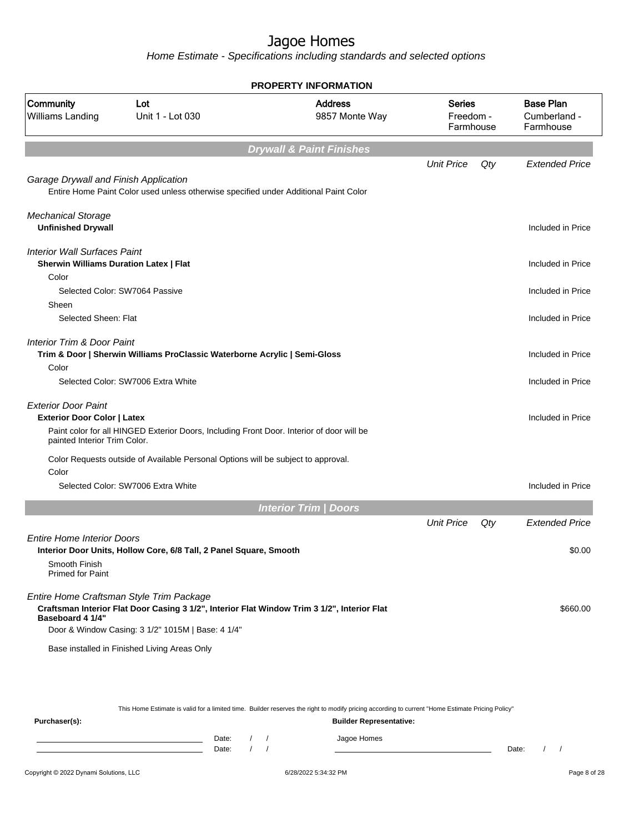Home Estimate - Specifications including standards and selected options

|                                                                                      |                                                                                                                                         | <b>PROPERTY INFORMATION</b>         |                                  |     |                                               |
|--------------------------------------------------------------------------------------|-----------------------------------------------------------------------------------------------------------------------------------------|-------------------------------------|----------------------------------|-----|-----------------------------------------------|
| Community<br>Williams Landing                                                        | Lot<br>Unit 1 - Lot 030                                                                                                                 | <b>Address</b><br>9857 Monte Way    | Series<br>Freedom -<br>Farmhouse |     | <b>Base Plan</b><br>Cumberland -<br>Farmhouse |
|                                                                                      |                                                                                                                                         | <b>Drywall &amp; Paint Finishes</b> |                                  |     |                                               |
|                                                                                      |                                                                                                                                         |                                     | <b>Unit Price</b>                | Qty | <b>Extended Price</b>                         |
| Garage Drywall and Finish Application                                                | Entire Home Paint Color used unless otherwise specified under Additional Paint Color                                                    |                                     |                                  |     |                                               |
| <b>Mechanical Storage</b><br><b>Unfinished Drywall</b>                               |                                                                                                                                         |                                     |                                  |     | Included in Price                             |
| <b>Interior Wall Surfaces Paint</b><br><b>Sherwin Williams Duration Latex   Flat</b> |                                                                                                                                         |                                     |                                  |     | Included in Price                             |
| Color                                                                                |                                                                                                                                         |                                     |                                  |     |                                               |
|                                                                                      | Selected Color: SW7064 Passive                                                                                                          |                                     |                                  |     | Included in Price                             |
| Sheen                                                                                |                                                                                                                                         |                                     |                                  |     | Included in Price                             |
| Selected Sheen: Flat                                                                 |                                                                                                                                         |                                     |                                  |     |                                               |
| <b>Interior Trim &amp; Door Paint</b>                                                | Trim & Door   Sherwin Williams ProClassic Waterborne Acrylic   Semi-Gloss                                                               |                                     |                                  |     | Included in Price                             |
| Color                                                                                | Selected Color: SW7006 Extra White                                                                                                      |                                     |                                  |     | Included in Price                             |
| <b>Exterior Door Paint</b><br><b>Exterior Door Color   Latex</b>                     |                                                                                                                                         |                                     |                                  |     | Included in Price                             |
| painted Interior Trim Color.                                                         | Paint color for all HINGED Exterior Doors, Including Front Door. Interior of door will be                                               |                                     |                                  |     |                                               |
|                                                                                      | Color Requests outside of Available Personal Options will be subject to approval.                                                       |                                     |                                  |     |                                               |
| Color                                                                                |                                                                                                                                         |                                     |                                  |     |                                               |
|                                                                                      | Selected Color: SW7006 Extra White                                                                                                      |                                     |                                  |     | Included in Price                             |
|                                                                                      |                                                                                                                                         | <b>Interior Trim / Doors</b>        |                                  |     |                                               |
|                                                                                      |                                                                                                                                         |                                     | <b>Unit Price</b>                | Qty | <b>Extended Price</b>                         |
| <b>Entire Home Interior Doors</b>                                                    | Interior Door Units, Hollow Core, 6/8 Tall, 2 Panel Square, Smooth                                                                      |                                     |                                  |     | \$0.00                                        |
| Smooth Finish<br><b>Primed for Paint</b>                                             |                                                                                                                                         |                                     |                                  |     |                                               |
| Baseboard 4 1/4"                                                                     | Entire Home Craftsman Style Trim Package<br>Craftsman Interior Flat Door Casing 3 1/2", Interior Flat Window Trim 3 1/2", Interior Flat |                                     |                                  |     | \$660.00                                      |
|                                                                                      | Door & Window Casing: 3 1/2" 1015M   Base: 4 1/4"                                                                                       |                                     |                                  |     |                                               |
|                                                                                      | Base installed in Finished Living Areas Only                                                                                            |                                     |                                  |     |                                               |
|                                                                                      |                                                                                                                                         |                                     |                                  |     |                                               |
|                                                                                      |                                                                                                                                         |                                     |                                  |     |                                               |
|                                                                                      |                                                                                                                                         |                                     |                                  |     |                                               |

This Home Estimate is valid for a limited time. Builder reserves the right to modify pricing according to current "Home Estimate Pricing Policy"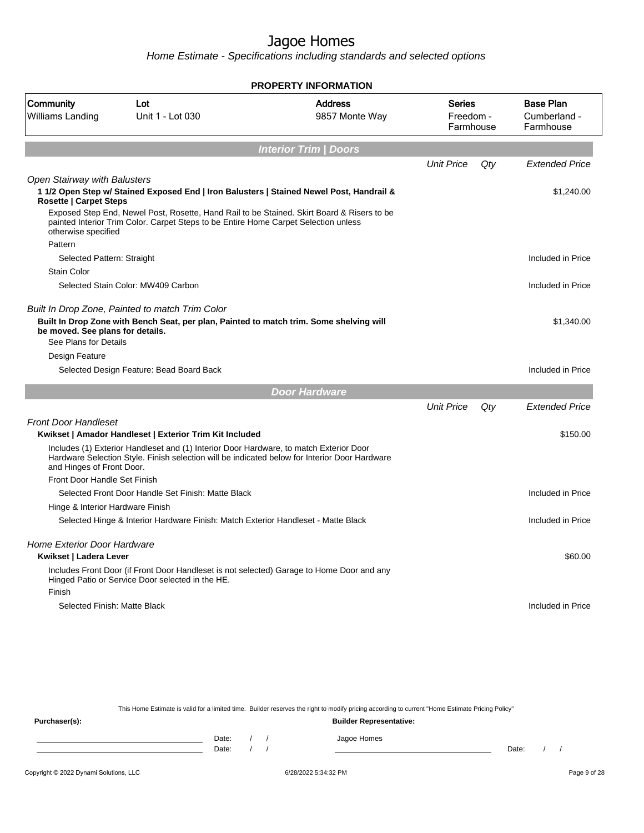Home Estimate - Specifications including standards and selected options

|                                                               |                                                                                                                                                                                                                                                                               | <b>PROPERTY INFORMATION</b>      |                                         |     |                                               |
|---------------------------------------------------------------|-------------------------------------------------------------------------------------------------------------------------------------------------------------------------------------------------------------------------------------------------------------------------------|----------------------------------|-----------------------------------------|-----|-----------------------------------------------|
| Community<br>Williams Landing                                 | Lot<br>Unit 1 - Lot 030                                                                                                                                                                                                                                                       | <b>Address</b><br>9857 Monte Way | <b>Series</b><br>Freedom -<br>Farmhouse |     | <b>Base Plan</b><br>Cumberland -<br>Farmhouse |
|                                                               |                                                                                                                                                                                                                                                                               | <b>Interior Trim / Doors</b>     |                                         |     |                                               |
|                                                               |                                                                                                                                                                                                                                                                               |                                  | <b>Unit Price</b>                       | Qty | <b>Extended Price</b>                         |
| Open Stairway with Balusters<br><b>Rosette   Carpet Steps</b> | 1 1/2 Open Step w/ Stained Exposed End   Iron Balusters   Stained Newel Post, Handrail &<br>Exposed Step End, Newel Post, Rosette, Hand Rail to be Stained. Skirt Board & Risers to be<br>painted Interior Trim Color. Carpet Steps to be Entire Home Carpet Selection unless |                                  |                                         |     | \$1,240.00                                    |
| otherwise specified                                           |                                                                                                                                                                                                                                                                               |                                  |                                         |     |                                               |
| Pattern<br>Selected Pattern: Straight                         |                                                                                                                                                                                                                                                                               |                                  |                                         |     | Included in Price                             |
| <b>Stain Color</b>                                            |                                                                                                                                                                                                                                                                               |                                  |                                         |     |                                               |
|                                                               | Selected Stain Color: MW409 Carbon                                                                                                                                                                                                                                            |                                  |                                         |     | Included in Price                             |
|                                                               |                                                                                                                                                                                                                                                                               |                                  |                                         |     |                                               |
| be moved. See plans for details.<br>See Plans for Details     | Built In Drop Zone, Painted to match Trim Color<br>Built In Drop Zone with Bench Seat, per plan, Painted to match trim. Some shelving will                                                                                                                                    |                                  |                                         |     | \$1,340.00                                    |
| Design Feature                                                |                                                                                                                                                                                                                                                                               |                                  |                                         |     |                                               |
|                                                               | Selected Design Feature: Bead Board Back                                                                                                                                                                                                                                      |                                  |                                         |     | Included in Price                             |
|                                                               |                                                                                                                                                                                                                                                                               | <b>Door Hardware</b>             |                                         |     |                                               |
|                                                               |                                                                                                                                                                                                                                                                               |                                  | <b>Unit Price</b>                       | Qty | <b>Extended Price</b>                         |
| <b>Front Door Handleset</b>                                   |                                                                                                                                                                                                                                                                               |                                  |                                         |     |                                               |
|                                                               | Kwikset   Amador Handleset   Exterior Trim Kit Included                                                                                                                                                                                                                       |                                  |                                         |     | \$150.00                                      |
| and Hinges of Front Door.                                     | Includes (1) Exterior Handleset and (1) Interior Door Hardware, to match Exterior Door<br>Hardware Selection Style. Finish selection will be indicated below for Interior Door Hardware                                                                                       |                                  |                                         |     |                                               |
| Front Door Handle Set Finish                                  |                                                                                                                                                                                                                                                                               |                                  |                                         |     |                                               |
|                                                               | Selected Front Door Handle Set Finish: Matte Black                                                                                                                                                                                                                            |                                  |                                         |     | Included in Price                             |
| Hinge & Interior Hardware Finish                              |                                                                                                                                                                                                                                                                               |                                  |                                         |     |                                               |
|                                                               | Selected Hinge & Interior Hardware Finish: Match Exterior Handleset - Matte Black                                                                                                                                                                                             |                                  |                                         |     | Included in Price                             |
| <b>Home Exterior Door Hardware</b><br>Kwikset   Ladera Lever  |                                                                                                                                                                                                                                                                               |                                  |                                         |     | \$60.00                                       |
| Finish                                                        | Includes Front Door (if Front Door Handleset is not selected) Garage to Home Door and any<br>Hinged Patio or Service Door selected in the HE.                                                                                                                                 |                                  |                                         |     |                                               |
| Selected Finish: Matte Black                                  |                                                                                                                                                                                                                                                                               |                                  |                                         |     | Included in Price                             |
|                                                               |                                                                                                                                                                                                                                                                               |                                  |                                         |     |                                               |

This Home Estimate is valid for a limited time. Builder reserves the right to modify pricing according to current "Home Estimate Pricing Policy" **Purchaser(s): Builder Representative:** Date: / / Jagoe Homes<br>Date: / / Jagoe Homes Date: / / **Date: / / 2006** Date: / / **Date: / / / 2006** Date: / / / 2006 Date: / / / 2006 Date: / / / 2006 Date: / / / 2007 Date: / / / 2007 Date: / / / 2008 Date: / / / 2008 Date: / / / 2008 Date: / / / 2008 Date: / / / 2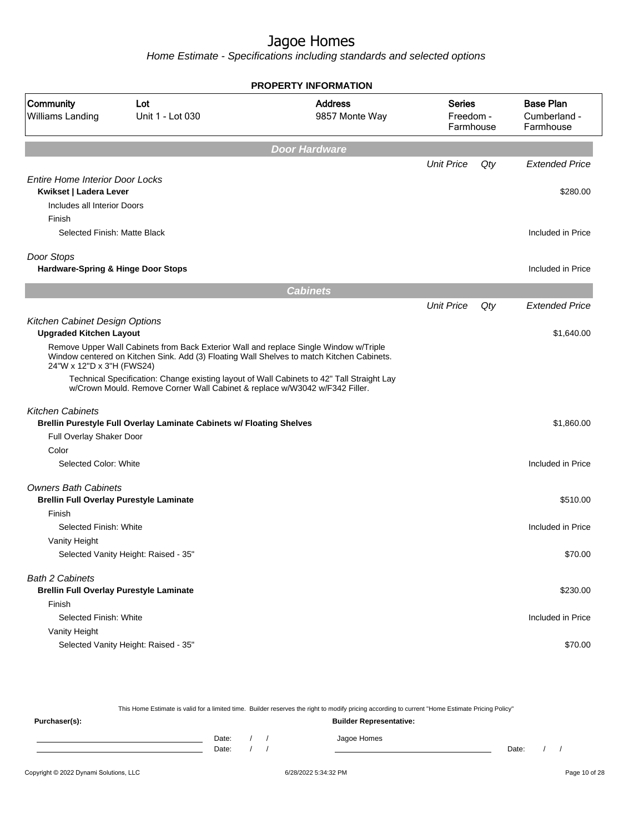Home Estimate - Specifications including standards and selected options

|                                                       |                                                                                                                                                                                    | <b>PROPERTY INFORMATION</b>      |                                         |     |                                               |
|-------------------------------------------------------|------------------------------------------------------------------------------------------------------------------------------------------------------------------------------------|----------------------------------|-----------------------------------------|-----|-----------------------------------------------|
| Community<br>Williams Landing                         | Lot<br>Unit 1 - Lot 030                                                                                                                                                            | <b>Address</b><br>9857 Monte Way | <b>Series</b><br>Freedom -<br>Farmhouse |     | <b>Base Plan</b><br>Cumberland -<br>Farmhouse |
|                                                       |                                                                                                                                                                                    | <b>Door Hardware</b>             |                                         |     |                                               |
|                                                       |                                                                                                                                                                                    |                                  | <b>Unit Price</b>                       | Qty | <b>Extended Price</b>                         |
| <b>Entire Home Interior Door Locks</b>                |                                                                                                                                                                                    |                                  |                                         |     |                                               |
| Kwikset   Ladera Lever<br>Includes all Interior Doors |                                                                                                                                                                                    |                                  |                                         |     | \$280.00                                      |
| Finish                                                |                                                                                                                                                                                    |                                  |                                         |     |                                               |
| Selected Finish: Matte Black                          |                                                                                                                                                                                    |                                  |                                         |     | Included in Price                             |
|                                                       |                                                                                                                                                                                    |                                  |                                         |     |                                               |
| Door Stops                                            |                                                                                                                                                                                    |                                  |                                         |     |                                               |
| Hardware-Spring & Hinge Door Stops                    |                                                                                                                                                                                    |                                  |                                         |     | Included in Price                             |
|                                                       |                                                                                                                                                                                    | <b>Cabinets</b>                  |                                         |     |                                               |
|                                                       |                                                                                                                                                                                    |                                  | <b>Unit Price</b>                       | Qty | <b>Extended Price</b>                         |
| Kitchen Cabinet Design Options                        |                                                                                                                                                                                    |                                  |                                         |     |                                               |
| <b>Upgraded Kitchen Layout</b>                        |                                                                                                                                                                                    |                                  |                                         |     | \$1,640.00                                    |
| 24"W x 12"D x 3"H (FWS24)                             | Remove Upper Wall Cabinets from Back Exterior Wall and replace Single Window w/Triple<br>Window centered on Kitchen Sink. Add (3) Floating Wall Shelves to match Kitchen Cabinets. |                                  |                                         |     |                                               |
|                                                       | Technical Specification: Change existing layout of Wall Cabinets to 42" Tall Straight Lay<br>w/Crown Mould. Remove Corner Wall Cabinet & replace w/W3042 w/F342 Filler.            |                                  |                                         |     |                                               |
| <b>Kitchen Cabinets</b>                               |                                                                                                                                                                                    |                                  |                                         |     |                                               |
|                                                       | Brellin Purestyle Full Overlay Laminate Cabinets w/ Floating Shelves                                                                                                               |                                  |                                         |     | \$1,860.00                                    |
| Full Overlay Shaker Door                              |                                                                                                                                                                                    |                                  |                                         |     |                                               |
| Color                                                 |                                                                                                                                                                                    |                                  |                                         |     |                                               |
| Selected Color: White                                 |                                                                                                                                                                                    |                                  |                                         |     | Included in Price                             |
| <b>Owners Bath Cabinets</b>                           |                                                                                                                                                                                    |                                  |                                         |     |                                               |
| <b>Brellin Full Overlay Purestyle Laminate</b>        |                                                                                                                                                                                    |                                  |                                         |     | \$510.00                                      |
| Finish                                                |                                                                                                                                                                                    |                                  |                                         |     |                                               |
| Selected Finish: White                                |                                                                                                                                                                                    |                                  |                                         |     | Included in Price                             |
| Vanity Height                                         |                                                                                                                                                                                    |                                  |                                         |     |                                               |
|                                                       | Selected Vanity Height: Raised - 35"                                                                                                                                               |                                  |                                         |     | \$70.00                                       |
| <b>Bath 2 Cabinets</b>                                |                                                                                                                                                                                    |                                  |                                         |     |                                               |
| <b>Brellin Full Overlay Purestyle Laminate</b>        |                                                                                                                                                                                    |                                  |                                         |     | \$230.00                                      |
| Finish                                                |                                                                                                                                                                                    |                                  |                                         |     |                                               |
| Selected Finish: White                                |                                                                                                                                                                                    |                                  |                                         |     | Included in Price                             |
| Vanity Height                                         |                                                                                                                                                                                    |                                  |                                         |     |                                               |
|                                                       | Selected Vanity Height: Raised - 35"                                                                                                                                               |                                  |                                         |     | \$70.00                                       |
|                                                       |                                                                                                                                                                                    |                                  |                                         |     |                                               |

This Home Estimate is valid for a limited time. Builder reserves the right to modify pricing according to current "Home Estimate Pricing Policy" **Purchaser(s): Builder Representative:** Date: / / Jagoe Homes<br>Date: / / Jagoe Homes Date: / / **Date: / / 2006** Date: / / / Date: / / / Date: / / / 2006 Date: / / / 2006 Date: / / / 2006 Date: / / / 2006 Date: / / / 2007 Date: / / / 2007 Date: / / / 2007 Date: / / / 2007 Date: / / / 2007 Date: / / / 2007 D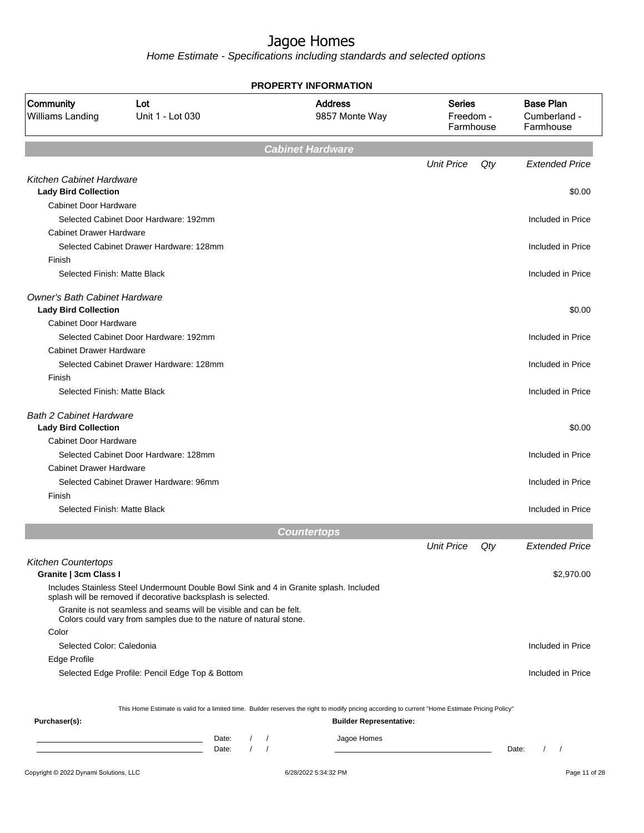| <b>Base Plan</b><br><b>Address</b><br><b>Series</b><br>Lot<br>Unit 1 - Lot 030<br>9857 Monte Way<br>Freedom -<br>Cumberland -<br>Farmhouse<br>Farmhouse<br><b>Cabinet Hardware</b><br>Qty<br><b>Unit Price</b><br><b>Kitchen Cabinet Hardware</b><br><b>Lady Bird Collection</b><br><b>Cabinet Door Hardware</b><br>Selected Cabinet Door Hardware: 192mm<br>Included in Price<br><b>Cabinet Drawer Hardware</b><br>Selected Cabinet Drawer Hardware: 128mm<br>Included in Price<br>Finish<br>Selected Finish: Matte Black<br>Included in Price<br><b>Owner's Bath Cabinet Hardware</b><br><b>Lady Bird Collection</b><br>Cabinet Door Hardware<br>Selected Cabinet Door Hardware: 192mm<br><b>Cabinet Drawer Hardware</b><br>Selected Cabinet Drawer Hardware: 128mm<br>Finish<br>Selected Finish: Matte Black<br><b>Bath 2 Cabinet Hardware</b><br><b>Lady Bird Collection</b><br><b>Cabinet Door Hardware</b><br>Selected Cabinet Door Hardware: 128mm<br><b>Cabinet Drawer Hardware</b><br>Selected Cabinet Drawer Hardware: 96mm<br>Finish<br>Selected Finish: Matte Black<br><b>Countertops</b><br><b>Unit Price</b><br>Qty<br><b>Kitchen Countertops</b><br>Granite   3cm Class I<br>Includes Stainless Steel Undermount Double Bowl Sink and 4 in Granite splash. Included<br>splash will be removed if decorative backsplash is selected.<br>Granite is not seamless and seams will be visible and can be felt.<br>Colors could vary from samples due to the nature of natural stone.<br>Color<br>Selected Color: Caledonia<br>Included in Price<br>Edge Profile<br>Selected Edge Profile: Pencil Edge Top & Bottom<br>Included in Price<br>This Home Estimate is valid for a limited time. Builder reserves the right to modify pricing according to current "Home Estimate Pricing Policy"<br>Purchaser(s):<br><b>Builder Representative:</b><br>Jagoe Homes<br>Date:<br>$1 \quad 1$<br>Date:<br>Date:<br>$\sqrt{ }$ |                               | <b>PROPERTY INFORMATION</b> |                       |
|---------------------------------------------------------------------------------------------------------------------------------------------------------------------------------------------------------------------------------------------------------------------------------------------------------------------------------------------------------------------------------------------------------------------------------------------------------------------------------------------------------------------------------------------------------------------------------------------------------------------------------------------------------------------------------------------------------------------------------------------------------------------------------------------------------------------------------------------------------------------------------------------------------------------------------------------------------------------------------------------------------------------------------------------------------------------------------------------------------------------------------------------------------------------------------------------------------------------------------------------------------------------------------------------------------------------------------------------------------------------------------------------------------------------------------------------------------------------------------------------------------------------------------------------------------------------------------------------------------------------------------------------------------------------------------------------------------------------------------------------------------------------------------------------------------------------------------------------------------------------------------------------------------------------------------|-------------------------------|-----------------------------|-----------------------|
|                                                                                                                                                                                                                                                                                                                                                                                                                                                                                                                                                                                                                                                                                                                                                                                                                                                                                                                                                                                                                                                                                                                                                                                                                                                                                                                                                                                                                                                                                                                                                                                                                                                                                                                                                                                                                                                                                                                                 | Community<br>Williams Landing |                             |                       |
|                                                                                                                                                                                                                                                                                                                                                                                                                                                                                                                                                                                                                                                                                                                                                                                                                                                                                                                                                                                                                                                                                                                                                                                                                                                                                                                                                                                                                                                                                                                                                                                                                                                                                                                                                                                                                                                                                                                                 |                               |                             |                       |
|                                                                                                                                                                                                                                                                                                                                                                                                                                                                                                                                                                                                                                                                                                                                                                                                                                                                                                                                                                                                                                                                                                                                                                                                                                                                                                                                                                                                                                                                                                                                                                                                                                                                                                                                                                                                                                                                                                                                 |                               |                             | <b>Extended Price</b> |
|                                                                                                                                                                                                                                                                                                                                                                                                                                                                                                                                                                                                                                                                                                                                                                                                                                                                                                                                                                                                                                                                                                                                                                                                                                                                                                                                                                                                                                                                                                                                                                                                                                                                                                                                                                                                                                                                                                                                 |                               |                             |                       |
|                                                                                                                                                                                                                                                                                                                                                                                                                                                                                                                                                                                                                                                                                                                                                                                                                                                                                                                                                                                                                                                                                                                                                                                                                                                                                                                                                                                                                                                                                                                                                                                                                                                                                                                                                                                                                                                                                                                                 |                               |                             | \$0.00                |
|                                                                                                                                                                                                                                                                                                                                                                                                                                                                                                                                                                                                                                                                                                                                                                                                                                                                                                                                                                                                                                                                                                                                                                                                                                                                                                                                                                                                                                                                                                                                                                                                                                                                                                                                                                                                                                                                                                                                 |                               |                             |                       |
|                                                                                                                                                                                                                                                                                                                                                                                                                                                                                                                                                                                                                                                                                                                                                                                                                                                                                                                                                                                                                                                                                                                                                                                                                                                                                                                                                                                                                                                                                                                                                                                                                                                                                                                                                                                                                                                                                                                                 |                               |                             |                       |
|                                                                                                                                                                                                                                                                                                                                                                                                                                                                                                                                                                                                                                                                                                                                                                                                                                                                                                                                                                                                                                                                                                                                                                                                                                                                                                                                                                                                                                                                                                                                                                                                                                                                                                                                                                                                                                                                                                                                 |                               |                             |                       |
|                                                                                                                                                                                                                                                                                                                                                                                                                                                                                                                                                                                                                                                                                                                                                                                                                                                                                                                                                                                                                                                                                                                                                                                                                                                                                                                                                                                                                                                                                                                                                                                                                                                                                                                                                                                                                                                                                                                                 |                               |                             |                       |
|                                                                                                                                                                                                                                                                                                                                                                                                                                                                                                                                                                                                                                                                                                                                                                                                                                                                                                                                                                                                                                                                                                                                                                                                                                                                                                                                                                                                                                                                                                                                                                                                                                                                                                                                                                                                                                                                                                                                 |                               |                             |                       |
|                                                                                                                                                                                                                                                                                                                                                                                                                                                                                                                                                                                                                                                                                                                                                                                                                                                                                                                                                                                                                                                                                                                                                                                                                                                                                                                                                                                                                                                                                                                                                                                                                                                                                                                                                                                                                                                                                                                                 |                               |                             |                       |
|                                                                                                                                                                                                                                                                                                                                                                                                                                                                                                                                                                                                                                                                                                                                                                                                                                                                                                                                                                                                                                                                                                                                                                                                                                                                                                                                                                                                                                                                                                                                                                                                                                                                                                                                                                                                                                                                                                                                 |                               |                             |                       |
|                                                                                                                                                                                                                                                                                                                                                                                                                                                                                                                                                                                                                                                                                                                                                                                                                                                                                                                                                                                                                                                                                                                                                                                                                                                                                                                                                                                                                                                                                                                                                                                                                                                                                                                                                                                                                                                                                                                                 |                               |                             | \$0.00                |
|                                                                                                                                                                                                                                                                                                                                                                                                                                                                                                                                                                                                                                                                                                                                                                                                                                                                                                                                                                                                                                                                                                                                                                                                                                                                                                                                                                                                                                                                                                                                                                                                                                                                                                                                                                                                                                                                                                                                 |                               |                             |                       |
|                                                                                                                                                                                                                                                                                                                                                                                                                                                                                                                                                                                                                                                                                                                                                                                                                                                                                                                                                                                                                                                                                                                                                                                                                                                                                                                                                                                                                                                                                                                                                                                                                                                                                                                                                                                                                                                                                                                                 |                               |                             | Included in Price     |
|                                                                                                                                                                                                                                                                                                                                                                                                                                                                                                                                                                                                                                                                                                                                                                                                                                                                                                                                                                                                                                                                                                                                                                                                                                                                                                                                                                                                                                                                                                                                                                                                                                                                                                                                                                                                                                                                                                                                 |                               |                             |                       |
|                                                                                                                                                                                                                                                                                                                                                                                                                                                                                                                                                                                                                                                                                                                                                                                                                                                                                                                                                                                                                                                                                                                                                                                                                                                                                                                                                                                                                                                                                                                                                                                                                                                                                                                                                                                                                                                                                                                                 |                               |                             | Included in Price     |
|                                                                                                                                                                                                                                                                                                                                                                                                                                                                                                                                                                                                                                                                                                                                                                                                                                                                                                                                                                                                                                                                                                                                                                                                                                                                                                                                                                                                                                                                                                                                                                                                                                                                                                                                                                                                                                                                                                                                 |                               |                             |                       |
|                                                                                                                                                                                                                                                                                                                                                                                                                                                                                                                                                                                                                                                                                                                                                                                                                                                                                                                                                                                                                                                                                                                                                                                                                                                                                                                                                                                                                                                                                                                                                                                                                                                                                                                                                                                                                                                                                                                                 |                               |                             | Included in Price     |
|                                                                                                                                                                                                                                                                                                                                                                                                                                                                                                                                                                                                                                                                                                                                                                                                                                                                                                                                                                                                                                                                                                                                                                                                                                                                                                                                                                                                                                                                                                                                                                                                                                                                                                                                                                                                                                                                                                                                 |                               |                             |                       |
|                                                                                                                                                                                                                                                                                                                                                                                                                                                                                                                                                                                                                                                                                                                                                                                                                                                                                                                                                                                                                                                                                                                                                                                                                                                                                                                                                                                                                                                                                                                                                                                                                                                                                                                                                                                                                                                                                                                                 |                               |                             | \$0.00                |
|                                                                                                                                                                                                                                                                                                                                                                                                                                                                                                                                                                                                                                                                                                                                                                                                                                                                                                                                                                                                                                                                                                                                                                                                                                                                                                                                                                                                                                                                                                                                                                                                                                                                                                                                                                                                                                                                                                                                 |                               |                             |                       |
|                                                                                                                                                                                                                                                                                                                                                                                                                                                                                                                                                                                                                                                                                                                                                                                                                                                                                                                                                                                                                                                                                                                                                                                                                                                                                                                                                                                                                                                                                                                                                                                                                                                                                                                                                                                                                                                                                                                                 |                               |                             | Included in Price     |
|                                                                                                                                                                                                                                                                                                                                                                                                                                                                                                                                                                                                                                                                                                                                                                                                                                                                                                                                                                                                                                                                                                                                                                                                                                                                                                                                                                                                                                                                                                                                                                                                                                                                                                                                                                                                                                                                                                                                 |                               |                             |                       |
|                                                                                                                                                                                                                                                                                                                                                                                                                                                                                                                                                                                                                                                                                                                                                                                                                                                                                                                                                                                                                                                                                                                                                                                                                                                                                                                                                                                                                                                                                                                                                                                                                                                                                                                                                                                                                                                                                                                                 |                               |                             | Included in Price     |
|                                                                                                                                                                                                                                                                                                                                                                                                                                                                                                                                                                                                                                                                                                                                                                                                                                                                                                                                                                                                                                                                                                                                                                                                                                                                                                                                                                                                                                                                                                                                                                                                                                                                                                                                                                                                                                                                                                                                 |                               |                             |                       |
|                                                                                                                                                                                                                                                                                                                                                                                                                                                                                                                                                                                                                                                                                                                                                                                                                                                                                                                                                                                                                                                                                                                                                                                                                                                                                                                                                                                                                                                                                                                                                                                                                                                                                                                                                                                                                                                                                                                                 |                               |                             | Included in Price     |
|                                                                                                                                                                                                                                                                                                                                                                                                                                                                                                                                                                                                                                                                                                                                                                                                                                                                                                                                                                                                                                                                                                                                                                                                                                                                                                                                                                                                                                                                                                                                                                                                                                                                                                                                                                                                                                                                                                                                 |                               |                             |                       |
|                                                                                                                                                                                                                                                                                                                                                                                                                                                                                                                                                                                                                                                                                                                                                                                                                                                                                                                                                                                                                                                                                                                                                                                                                                                                                                                                                                                                                                                                                                                                                                                                                                                                                                                                                                                                                                                                                                                                 |                               |                             |                       |
|                                                                                                                                                                                                                                                                                                                                                                                                                                                                                                                                                                                                                                                                                                                                                                                                                                                                                                                                                                                                                                                                                                                                                                                                                                                                                                                                                                                                                                                                                                                                                                                                                                                                                                                                                                                                                                                                                                                                 |                               |                             | Extended Price        |
|                                                                                                                                                                                                                                                                                                                                                                                                                                                                                                                                                                                                                                                                                                                                                                                                                                                                                                                                                                                                                                                                                                                                                                                                                                                                                                                                                                                                                                                                                                                                                                                                                                                                                                                                                                                                                                                                                                                                 |                               |                             |                       |
|                                                                                                                                                                                                                                                                                                                                                                                                                                                                                                                                                                                                                                                                                                                                                                                                                                                                                                                                                                                                                                                                                                                                                                                                                                                                                                                                                                                                                                                                                                                                                                                                                                                                                                                                                                                                                                                                                                                                 |                               |                             | \$2,970.00            |
|                                                                                                                                                                                                                                                                                                                                                                                                                                                                                                                                                                                                                                                                                                                                                                                                                                                                                                                                                                                                                                                                                                                                                                                                                                                                                                                                                                                                                                                                                                                                                                                                                                                                                                                                                                                                                                                                                                                                 |                               |                             |                       |
|                                                                                                                                                                                                                                                                                                                                                                                                                                                                                                                                                                                                                                                                                                                                                                                                                                                                                                                                                                                                                                                                                                                                                                                                                                                                                                                                                                                                                                                                                                                                                                                                                                                                                                                                                                                                                                                                                                                                 |                               |                             |                       |
|                                                                                                                                                                                                                                                                                                                                                                                                                                                                                                                                                                                                                                                                                                                                                                                                                                                                                                                                                                                                                                                                                                                                                                                                                                                                                                                                                                                                                                                                                                                                                                                                                                                                                                                                                                                                                                                                                                                                 |                               |                             |                       |
|                                                                                                                                                                                                                                                                                                                                                                                                                                                                                                                                                                                                                                                                                                                                                                                                                                                                                                                                                                                                                                                                                                                                                                                                                                                                                                                                                                                                                                                                                                                                                                                                                                                                                                                                                                                                                                                                                                                                 |                               |                             |                       |
|                                                                                                                                                                                                                                                                                                                                                                                                                                                                                                                                                                                                                                                                                                                                                                                                                                                                                                                                                                                                                                                                                                                                                                                                                                                                                                                                                                                                                                                                                                                                                                                                                                                                                                                                                                                                                                                                                                                                 |                               |                             |                       |
|                                                                                                                                                                                                                                                                                                                                                                                                                                                                                                                                                                                                                                                                                                                                                                                                                                                                                                                                                                                                                                                                                                                                                                                                                                                                                                                                                                                                                                                                                                                                                                                                                                                                                                                                                                                                                                                                                                                                 |                               |                             |                       |
|                                                                                                                                                                                                                                                                                                                                                                                                                                                                                                                                                                                                                                                                                                                                                                                                                                                                                                                                                                                                                                                                                                                                                                                                                                                                                                                                                                                                                                                                                                                                                                                                                                                                                                                                                                                                                                                                                                                                 |                               |                             |                       |
|                                                                                                                                                                                                                                                                                                                                                                                                                                                                                                                                                                                                                                                                                                                                                                                                                                                                                                                                                                                                                                                                                                                                                                                                                                                                                                                                                                                                                                                                                                                                                                                                                                                                                                                                                                                                                                                                                                                                 |                               |                             |                       |
|                                                                                                                                                                                                                                                                                                                                                                                                                                                                                                                                                                                                                                                                                                                                                                                                                                                                                                                                                                                                                                                                                                                                                                                                                                                                                                                                                                                                                                                                                                                                                                                                                                                                                                                                                                                                                                                                                                                                 |                               |                             |                       |
|                                                                                                                                                                                                                                                                                                                                                                                                                                                                                                                                                                                                                                                                                                                                                                                                                                                                                                                                                                                                                                                                                                                                                                                                                                                                                                                                                                                                                                                                                                                                                                                                                                                                                                                                                                                                                                                                                                                                 |                               |                             |                       |
|                                                                                                                                                                                                                                                                                                                                                                                                                                                                                                                                                                                                                                                                                                                                                                                                                                                                                                                                                                                                                                                                                                                                                                                                                                                                                                                                                                                                                                                                                                                                                                                                                                                                                                                                                                                                                                                                                                                                 |                               |                             |                       |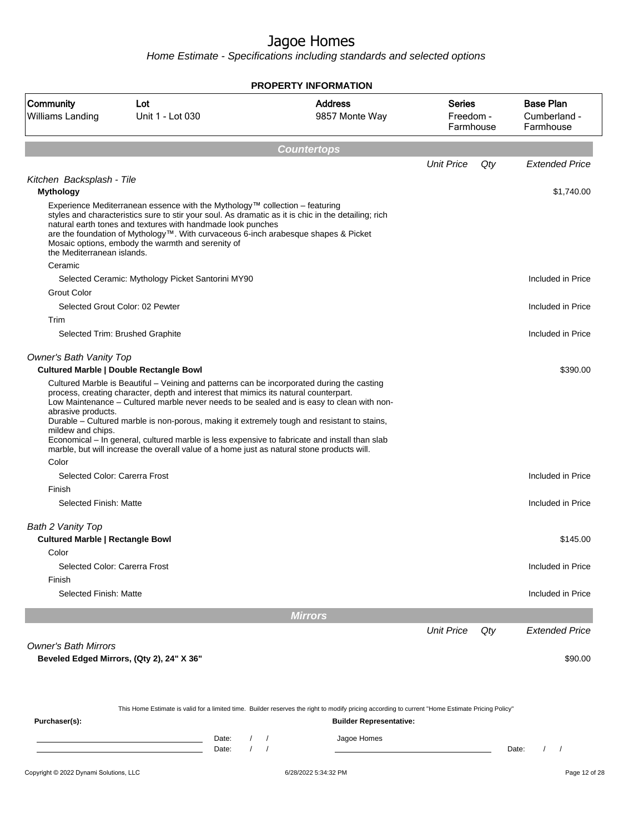| <b>Community</b><br>Williams Landing                         | Lot<br>Unit 1 - Lot 030                                                                                                                                                                                                                                                                                                                                                                      | <b>Address</b><br>9857 Monte Way                                                                                                                                                   | <b>Series</b><br>Freedom -<br>Farmhouse | <b>Base Plan</b><br>Cumberland -<br>Farmhouse |
|--------------------------------------------------------------|----------------------------------------------------------------------------------------------------------------------------------------------------------------------------------------------------------------------------------------------------------------------------------------------------------------------------------------------------------------------------------------------|------------------------------------------------------------------------------------------------------------------------------------------------------------------------------------|-----------------------------------------|-----------------------------------------------|
|                                                              |                                                                                                                                                                                                                                                                                                                                                                                              | <b>Countertops</b>                                                                                                                                                                 |                                         |                                               |
|                                                              |                                                                                                                                                                                                                                                                                                                                                                                              |                                                                                                                                                                                    | <b>Unit Price</b><br>Qty                | <b>Extended Price</b>                         |
| Kitchen Backsplash - Tile<br><b>Mythology</b>                |                                                                                                                                                                                                                                                                                                                                                                                              |                                                                                                                                                                                    |                                         | \$1,740.00                                    |
| the Mediterranean islands.                                   | Experience Mediterranean essence with the Mythology™ collection – featuring<br>styles and characteristics sure to stir your soul. As dramatic as it is chic in the detailing; rich<br>natural earth tones and textures with handmade look punches<br>are the foundation of Mythology™. With curvaceous 6-inch arabesque shapes & Picket<br>Mosaic options, embody the warmth and serenity of |                                                                                                                                                                                    |                                         |                                               |
| Ceramic                                                      |                                                                                                                                                                                                                                                                                                                                                                                              |                                                                                                                                                                                    |                                         |                                               |
| <b>Grout Color</b>                                           | Selected Ceramic: Mythology Picket Santorini MY90                                                                                                                                                                                                                                                                                                                                            |                                                                                                                                                                                    |                                         | Included in Price                             |
|                                                              | Selected Grout Color: 02 Pewter                                                                                                                                                                                                                                                                                                                                                              |                                                                                                                                                                                    |                                         | Included in Price                             |
| Trim                                                         |                                                                                                                                                                                                                                                                                                                                                                                              |                                                                                                                                                                                    |                                         |                                               |
|                                                              | Selected Trim: Brushed Graphite                                                                                                                                                                                                                                                                                                                                                              |                                                                                                                                                                                    |                                         | Included in Price                             |
| Owner's Bath Vanity Top                                      | <b>Cultured Marble   Double Rectangle Bowl</b>                                                                                                                                                                                                                                                                                                                                               |                                                                                                                                                                                    |                                         | \$390.00                                      |
| abrasive products.<br>mildew and chips.<br>Color             | Durable - Cultured marble is non-porous, making it extremely tough and resistant to stains,<br>Economical - In general, cultured marble is less expensive to fabricate and install than slab<br>marble, but will increase the overall value of a home just as natural stone products will.                                                                                                   | Low Maintenance - Cultured marble never needs to be sealed and is easy to clean with non-                                                                                          |                                         |                                               |
| Selected Color: Carerra Frost                                |                                                                                                                                                                                                                                                                                                                                                                                              |                                                                                                                                                                                    |                                         | Included in Price                             |
| Finish                                                       |                                                                                                                                                                                                                                                                                                                                                                                              |                                                                                                                                                                                    |                                         |                                               |
| Selected Finish: Matte                                       |                                                                                                                                                                                                                                                                                                                                                                                              |                                                                                                                                                                                    |                                         | Included in Price                             |
| Bath 2 Vanity Top<br><b>Cultured Marble   Rectangle Bowl</b> |                                                                                                                                                                                                                                                                                                                                                                                              |                                                                                                                                                                                    |                                         | \$145.00                                      |
| Color                                                        |                                                                                                                                                                                                                                                                                                                                                                                              |                                                                                                                                                                                    |                                         |                                               |
| Selected Color: Carerra Frost                                |                                                                                                                                                                                                                                                                                                                                                                                              |                                                                                                                                                                                    |                                         | Included in Price                             |
| Finish<br>Selected Finish: Matte                             |                                                                                                                                                                                                                                                                                                                                                                                              |                                                                                                                                                                                    |                                         | Included in Price                             |
|                                                              |                                                                                                                                                                                                                                                                                                                                                                                              | <b>Mirrors</b>                                                                                                                                                                     |                                         |                                               |
|                                                              |                                                                                                                                                                                                                                                                                                                                                                                              |                                                                                                                                                                                    | <b>Unit Price</b><br>Qty                | <b>Extended Price</b>                         |
| <b>Owner's Bath Mirrors</b>                                  |                                                                                                                                                                                                                                                                                                                                                                                              |                                                                                                                                                                                    |                                         |                                               |
|                                                              | Beveled Edged Mirrors, (Qty 2), 24" X 36"                                                                                                                                                                                                                                                                                                                                                    |                                                                                                                                                                                    |                                         | \$90.00                                       |
| Purchaser(s):                                                |                                                                                                                                                                                                                                                                                                                                                                                              | This Home Estimate is valid for a limited time. Builder reserves the right to modify pricing according to current "Home Estimate Pricing Policy"<br><b>Builder Representative:</b> |                                         |                                               |
|                                                              | Date:<br>Date:                                                                                                                                                                                                                                                                                                                                                                               | Jagoe Homes<br>$\prime$                                                                                                                                                            |                                         | Date:<br>$\prime$                             |
| Copyright © 2022 Dynami Solutions, LLC                       |                                                                                                                                                                                                                                                                                                                                                                                              | 6/28/2022 5:34:32 PM                                                                                                                                                               |                                         | Page 12 of 28                                 |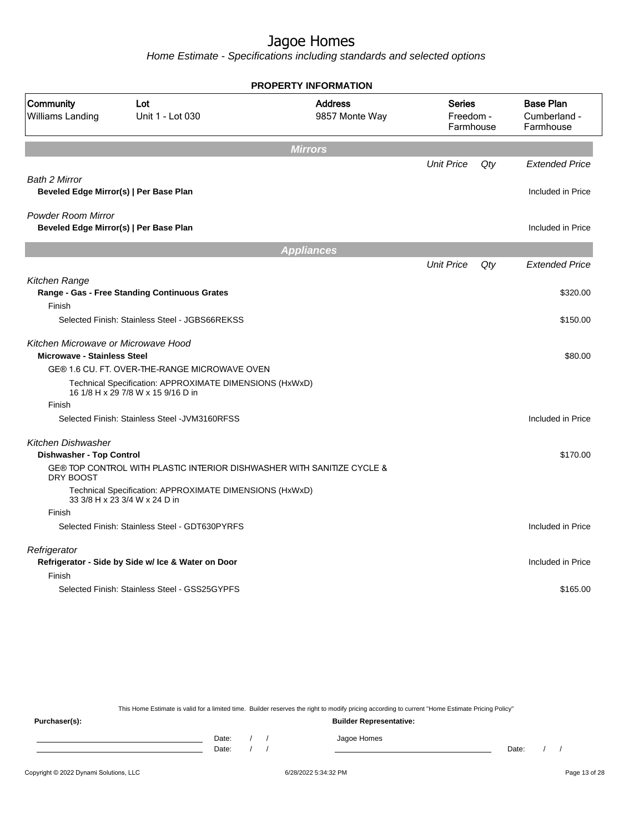Home Estimate - Specifications including standards and selected options

| PROPERTY INFORMATION                                                      |                                                         |                                                                        |                                  |     |                                            |  |                                               |
|---------------------------------------------------------------------------|---------------------------------------------------------|------------------------------------------------------------------------|----------------------------------|-----|--------------------------------------------|--|-----------------------------------------------|
| Community<br>Williams Landing                                             | Lot<br>Unit 1 - Lot 030                                 | <b>Address</b><br>9857 Monte Way                                       | Series<br>Freedom -<br>Farmhouse |     |                                            |  | <b>Base Plan</b><br>Cumberland -<br>Farmhouse |
|                                                                           |                                                         | <b>Mirrors</b>                                                         |                                  |     |                                            |  |                                               |
| <b>Bath 2 Mirror</b><br>Beveled Edge Mirror(s)   Per Base Plan            |                                                         |                                                                        | <b>Unit Price</b>                | Qty | <b>Extended Price</b><br>Included in Price |  |                                               |
| <b>Powder Room Mirror</b><br>Beveled Edge Mirror(s)   Per Base Plan       |                                                         |                                                                        |                                  |     | Included in Price                          |  |                                               |
|                                                                           |                                                         | <b>Appliances</b>                                                      |                                  |     |                                            |  |                                               |
|                                                                           |                                                         |                                                                        | <b>Unit Price</b>                | Qty | <b>Extended Price</b>                      |  |                                               |
| Kitchen Range<br>Range - Gas - Free Standing Continuous Grates            |                                                         |                                                                        |                                  |     | \$320.00                                   |  |                                               |
| Finish                                                                    | Selected Finish: Stainless Steel - JGBS66REKSS          |                                                                        |                                  |     | \$150.00                                   |  |                                               |
|                                                                           |                                                         |                                                                        |                                  |     |                                            |  |                                               |
| Kitchen Microwave or Microwave Hood<br><b>Microwave - Stainless Steel</b> |                                                         |                                                                        |                                  |     | \$80.00                                    |  |                                               |
|                                                                           | GE® 1.6 CU. FT. OVER-THE-RANGE MICROWAVE OVEN           |                                                                        |                                  |     |                                            |  |                                               |
| 16 1/8 H x 29 7/8 W x 15 9/16 D in                                        | Technical Specification: APPROXIMATE DIMENSIONS (HxWxD) |                                                                        |                                  |     |                                            |  |                                               |
| Finish                                                                    |                                                         |                                                                        |                                  |     |                                            |  |                                               |
|                                                                           | Selected Finish: Stainless Steel - JVM3160RFSS          |                                                                        |                                  |     | Included in Price                          |  |                                               |
| Kitchen Dishwasher<br>Dishwasher - Top Control                            |                                                         |                                                                        |                                  |     | \$170.00                                   |  |                                               |
| DRY BOOST                                                                 |                                                         | GE® TOP CONTROL WITH PLASTIC INTERIOR DISHWASHER WITH SANITIZE CYCLE & |                                  |     |                                            |  |                                               |
| 33 3/8 H x 23 3/4 W x 24 D in                                             | Technical Specification: APPROXIMATE DIMENSIONS (HxWxD) |                                                                        |                                  |     |                                            |  |                                               |
| Finish                                                                    |                                                         |                                                                        |                                  |     |                                            |  |                                               |
|                                                                           | Selected Finish: Stainless Steel - GDT630PYRFS          |                                                                        |                                  |     | Included in Price                          |  |                                               |
| Refrigerator                                                              |                                                         |                                                                        |                                  |     |                                            |  |                                               |
|                                                                           | Refrigerator - Side by Side w/ Ice & Water on Door      |                                                                        |                                  |     | Included in Price                          |  |                                               |
| Finish                                                                    | Selected Finish: Stainless Steel - GSS25GYPFS           |                                                                        |                                  |     | \$165.00                                   |  |                                               |
|                                                                           |                                                         |                                                                        |                                  |     |                                            |  |                                               |

This Home Estimate is valid for a limited time. Builder reserves the right to modify pricing according to current "Home Estimate Pricing Policy"

**Purchaser(s): Builder Representative:** Date: / / Jagoe Homes<br>Date: / / Jagoe Homes Date: / / **Date: / / 2006** Date: / / / Date: / / / Date: / / / 2006 Date: / / / 2006 Date: / / / 2006 Date: / / / 2006 Date: / / / 2007 Date: / / / 2007 Date: / / / 2007 Date: / / / 2007 Date: / / / 2007 Date: / / / 2007 D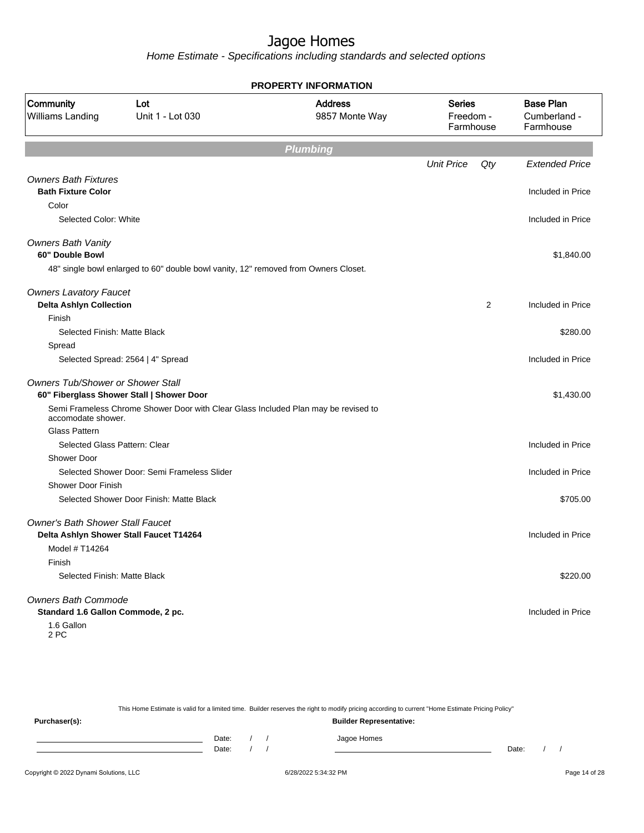Home Estimate - Specifications including standards and selected options

|                                                                  |                                                                                     | <b>PROPERTY INFORMATION</b> |                                         |     |                                               |
|------------------------------------------------------------------|-------------------------------------------------------------------------------------|-----------------------------|-----------------------------------------|-----|-----------------------------------------------|
| Community<br><b>Williams Landing</b>                             | <b>Address</b><br>Lot<br>Unit 1 - Lot 030<br>9857 Monte Way                         |                             | <b>Series</b><br>Freedom -<br>Farmhouse |     | <b>Base Plan</b><br>Cumberland -<br>Farmhouse |
|                                                                  |                                                                                     | <b>Plumbing</b>             |                                         |     |                                               |
|                                                                  |                                                                                     |                             | <b>Unit Price</b>                       | Qty | <b>Extended Price</b>                         |
| <b>Owners Bath Fixtures</b><br><b>Bath Fixture Color</b>         |                                                                                     |                             |                                         |     | Included in Price                             |
| Color                                                            |                                                                                     |                             |                                         |     |                                               |
| Selected Color: White                                            |                                                                                     |                             |                                         |     | Included in Price                             |
| <b>Owners Bath Vanity</b><br>60" Double Bowl                     |                                                                                     |                             |                                         |     | \$1,840.00                                    |
|                                                                  | 48" single bowl enlarged to 60" double bowl vanity, 12" removed from Owners Closet. |                             |                                         |     |                                               |
| <b>Owners Lavatory Faucet</b><br><b>Delta Ashlyn Collection</b>  |                                                                                     |                             |                                         | 2   | Included in Price                             |
| Finish                                                           |                                                                                     |                             |                                         |     |                                               |
| Selected Finish: Matte Black                                     |                                                                                     |                             |                                         |     | \$280.00                                      |
| Spread                                                           |                                                                                     |                             |                                         |     |                                               |
|                                                                  | Selected Spread: 2564   4" Spread                                                   |                             |                                         |     | Included in Price                             |
| Owners Tub/Shower or Shower Stall                                | 60" Fiberglass Shower Stall   Shower Door                                           |                             |                                         |     | \$1,430.00                                    |
| accomodate shower.                                               | Semi Frameless Chrome Shower Door with Clear Glass Included Plan may be revised to  |                             |                                         |     |                                               |
| Glass Pattern                                                    |                                                                                     |                             |                                         |     |                                               |
| Selected Glass Pattern: Clear                                    |                                                                                     |                             |                                         |     | Included in Price                             |
| <b>Shower Door</b>                                               |                                                                                     |                             |                                         |     |                                               |
|                                                                  | Selected Shower Door: Semi Frameless Slider                                         |                             |                                         |     | Included in Price                             |
| Shower Door Finish                                               |                                                                                     |                             |                                         |     |                                               |
|                                                                  | Selected Shower Door Finish: Matte Black                                            |                             |                                         |     | \$705.00                                      |
| <b>Owner's Bath Shower Stall Faucet</b>                          | Delta Ashlyn Shower Stall Faucet T14264                                             |                             |                                         |     | Included in Price                             |
| Model # T14264                                                   |                                                                                     |                             |                                         |     |                                               |
| Finish                                                           |                                                                                     |                             |                                         |     |                                               |
| Selected Finish: Matte Black                                     |                                                                                     |                             |                                         |     | \$220.00                                      |
| <b>Owners Bath Commode</b><br>Standard 1.6 Gallon Commode, 2 pc. |                                                                                     |                             |                                         |     | Included in Price                             |
| 1.6 Gallon<br>2 PC                                               |                                                                                     |                             |                                         |     |                                               |

This Home Estimate is valid for a limited time. Builder reserves the right to modify pricing according to current "Home Estimate Pricing Policy"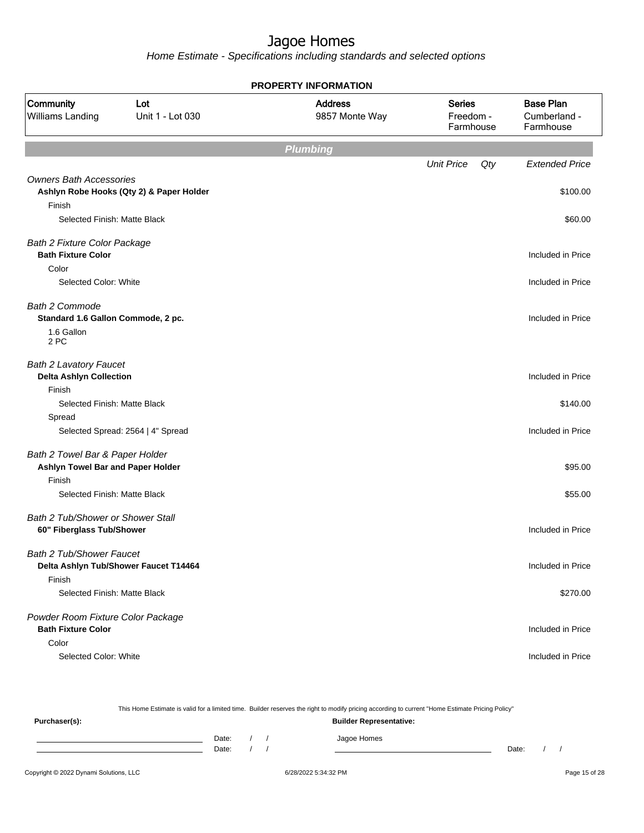|                                                                                |                                          | <b>PROPERTY INFORMATION</b>      |                                         |                                               |
|--------------------------------------------------------------------------------|------------------------------------------|----------------------------------|-----------------------------------------|-----------------------------------------------|
| Community<br>Williams Landing                                                  | Lot<br>Unit 1 - Lot 030                  | <b>Address</b><br>9857 Monte Way | <b>Series</b><br>Freedom -<br>Farmhouse | <b>Base Plan</b><br>Cumberland -<br>Farmhouse |
|                                                                                |                                          | <b>Plumbing</b>                  |                                         |                                               |
|                                                                                |                                          |                                  | <b>Unit Price</b><br>Qty                | <b>Extended Price</b>                         |
| <b>Owners Bath Accessories</b><br>Finish                                       | Ashlyn Robe Hooks (Qty 2) & Paper Holder |                                  |                                         | \$100.00                                      |
| Selected Finish: Matte Black                                                   |                                          |                                  |                                         | \$60.00                                       |
| <b>Bath 2 Fixture Color Package</b><br><b>Bath Fixture Color</b>               |                                          |                                  |                                         | Included in Price                             |
| Color<br>Selected Color: White                                                 |                                          |                                  |                                         | Included in Price                             |
| <b>Bath 2 Commode</b><br>Standard 1.6 Gallon Commode, 2 pc.                    |                                          |                                  |                                         | Included in Price                             |
| 1.6 Gallon<br>2 PC                                                             |                                          |                                  |                                         |                                               |
| <b>Bath 2 Lavatory Faucet</b><br><b>Delta Ashlyn Collection</b>                |                                          |                                  |                                         | Included in Price                             |
| Finish<br>Selected Finish: Matte Black                                         |                                          |                                  |                                         | \$140.00                                      |
| Spread                                                                         | Selected Spread: 2564   4" Spread        |                                  |                                         | Included in Price                             |
| Bath 2 Towel Bar & Paper Holder<br>Ashlyn Towel Bar and Paper Holder<br>Finish |                                          |                                  |                                         | \$95.00                                       |
| Selected Finish: Matte Black                                                   |                                          |                                  |                                         | \$55.00                                       |
| Bath 2 Tub/Shower or Shower Stall<br>60" Fiberglass Tub/Shower                 |                                          |                                  |                                         | Included in Price                             |
| Bath 2 Tub/Shower Faucet<br>Delta Ashlyn Tub/Shower Faucet T14464<br>Finish    |                                          |                                  |                                         | Included in Price                             |
| Selected Finish: Matte Black                                                   |                                          |                                  |                                         | \$270.00                                      |
| Powder Room Fixture Color Package<br><b>Bath Fixture Color</b>                 |                                          |                                  |                                         | Included in Price                             |
| Color<br>Selected Color: White                                                 |                                          |                                  |                                         | Included in Price                             |

| This Home Estimate is valid for a limited time. Builder reserves the right to modify pricing according to current "Home Estimate Pricing Policy" |       |  |  |                                |       |  |
|--------------------------------------------------------------------------------------------------------------------------------------------------|-------|--|--|--------------------------------|-------|--|
| Purchaser(s):                                                                                                                                    |       |  |  | <b>Builder Representative:</b> |       |  |
|                                                                                                                                                  | Date: |  |  | Jagoe Homes                    |       |  |
|                                                                                                                                                  | Date: |  |  |                                | Date: |  |
|                                                                                                                                                  |       |  |  |                                |       |  |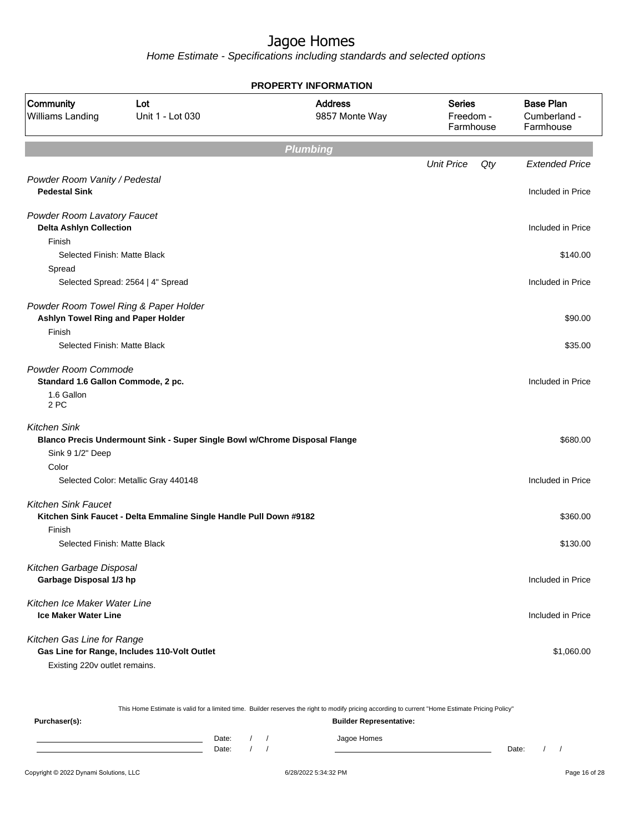Home Estimate - Specifications including standards and selected options

|                                                                             | <b>PROPERTY INFORMATION</b>                                                |                                  |                                         |                                               |  |  |  |  |
|-----------------------------------------------------------------------------|----------------------------------------------------------------------------|----------------------------------|-----------------------------------------|-----------------------------------------------|--|--|--|--|
| Community<br>Williams Landing                                               | Lot<br>Unit 1 - Lot 030                                                    | <b>Address</b><br>9857 Monte Way | <b>Series</b><br>Freedom -<br>Farmhouse | <b>Base Plan</b><br>Cumberland -<br>Farmhouse |  |  |  |  |
|                                                                             |                                                                            | <b>Plumbing</b>                  |                                         |                                               |  |  |  |  |
|                                                                             |                                                                            |                                  | <b>Unit Price</b><br>Qty                | <b>Extended Price</b>                         |  |  |  |  |
| Powder Room Vanity / Pedestal<br><b>Pedestal Sink</b>                       |                                                                            |                                  |                                         | Included in Price                             |  |  |  |  |
| Powder Room Lavatory Faucet<br><b>Delta Ashlyn Collection</b>               |                                                                            |                                  |                                         | Included in Price                             |  |  |  |  |
| Finish                                                                      |                                                                            |                                  |                                         |                                               |  |  |  |  |
| Selected Finish: Matte Black                                                |                                                                            |                                  |                                         | \$140.00                                      |  |  |  |  |
| Spread                                                                      |                                                                            |                                  |                                         |                                               |  |  |  |  |
|                                                                             | Selected Spread: 2564   4" Spread                                          |                                  |                                         | Included in Price                             |  |  |  |  |
| Powder Room Towel Ring & Paper Holder<br>Ashlyn Towel Ring and Paper Holder |                                                                            |                                  |                                         | \$90.00                                       |  |  |  |  |
| Finish                                                                      |                                                                            |                                  |                                         |                                               |  |  |  |  |
| Selected Finish: Matte Black                                                |                                                                            |                                  |                                         | \$35.00                                       |  |  |  |  |
| Powder Room Commode                                                         |                                                                            |                                  |                                         |                                               |  |  |  |  |
| Standard 1.6 Gallon Commode, 2 pc.                                          |                                                                            |                                  |                                         | Included in Price                             |  |  |  |  |
| 1.6 Gallon<br>2 PC                                                          |                                                                            |                                  |                                         |                                               |  |  |  |  |
| <b>Kitchen Sink</b><br>Sink 9 1/2" Deep<br>Color                            | Blanco Precis Undermount Sink - Super Single Bowl w/Chrome Disposal Flange |                                  |                                         | \$680.00                                      |  |  |  |  |
|                                                                             | Selected Color: Metallic Gray 440148                                       |                                  |                                         | Included in Price                             |  |  |  |  |
|                                                                             |                                                                            |                                  |                                         |                                               |  |  |  |  |
| <b>Kitchen Sink Faucet</b>                                                  | Kitchen Sink Faucet - Delta Emmaline Single Handle Pull Down #9182         |                                  |                                         | \$360.00                                      |  |  |  |  |
| Finish                                                                      |                                                                            |                                  |                                         |                                               |  |  |  |  |
| Selected Finish: Matte Black                                                |                                                                            |                                  |                                         | \$130.00                                      |  |  |  |  |
| Kitchen Garbage Disposal                                                    |                                                                            |                                  |                                         |                                               |  |  |  |  |
| Garbage Disposal 1/3 hp                                                     |                                                                            |                                  |                                         | Included in Price                             |  |  |  |  |
|                                                                             |                                                                            |                                  |                                         |                                               |  |  |  |  |
| Kitchen Ice Maker Water Line<br><b>Ice Maker Water Line</b>                 |                                                                            |                                  |                                         | Included in Price                             |  |  |  |  |
| Kitchen Gas Line for Range<br>Existing 220v outlet remains.                 | Gas Line for Range, Includes 110-Volt Outlet                               |                                  |                                         | \$1,060.00                                    |  |  |  |  |

Copyright © 2022 Dynami Solutions, LLC <br>
6/28/2022 5:34:32 PM Page 16 of 28 This Home Estimate is valid for a limited time. Builder reserves the right to modify pricing according to current "Home Estimate Pricing Policy" **Purchaser(s): Builder Representative:** Date: / / Jagoe Homes<br>Date: / / Jagoe Homes Date: / / Date: / /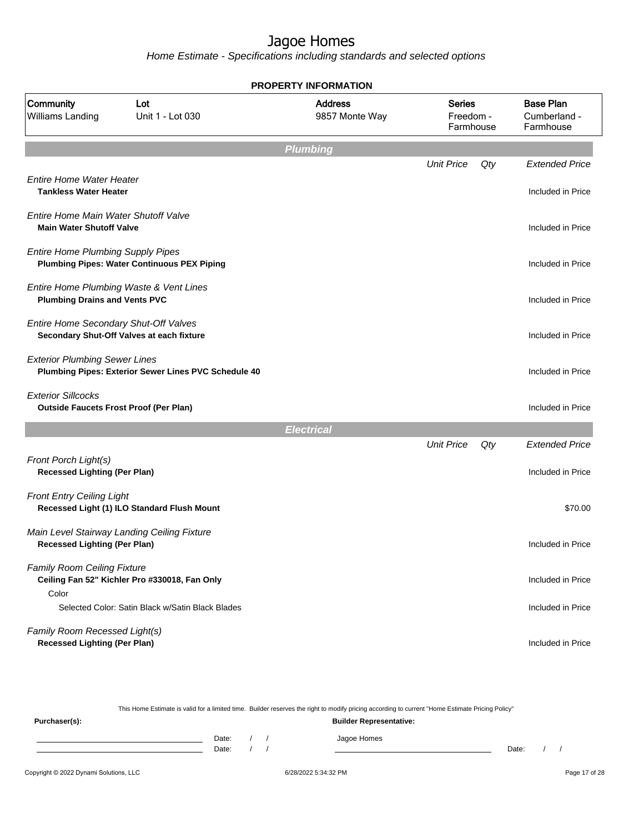Home Estimate - Specifications including standards and selected options

|                                                                            | <b>PROPERTY INFORMATION</b>                          |                                  |                                         |     |                                               |  |  |  |
|----------------------------------------------------------------------------|------------------------------------------------------|----------------------------------|-----------------------------------------|-----|-----------------------------------------------|--|--|--|
| Community<br><b>Williams Landing</b>                                       | Lot<br>Unit 1 - Lot 030                              | <b>Address</b><br>9857 Monte Way | <b>Series</b><br>Freedom -<br>Farmhouse |     | <b>Base Plan</b><br>Cumberland -<br>Farmhouse |  |  |  |
|                                                                            |                                                      | <b>Plumbing</b>                  |                                         |     |                                               |  |  |  |
|                                                                            |                                                      |                                  | <b>Unit Price</b>                       | Qty | <b>Extended Price</b>                         |  |  |  |
| Entire Home Water Heater<br><b>Tankless Water Heater</b>                   |                                                      |                                  |                                         |     | Included in Price                             |  |  |  |
| Entire Home Main Water Shutoff Valve<br><b>Main Water Shutoff Valve</b>    |                                                      |                                  |                                         |     | Included in Price                             |  |  |  |
| <b>Entire Home Plumbing Supply Pipes</b>                                   | <b>Plumbing Pipes: Water Continuous PEX Piping</b>   |                                  |                                         |     | Included in Price                             |  |  |  |
| <b>Plumbing Drains and Vents PVC</b>                                       | Entire Home Plumbing Waste & Vent Lines              |                                  |                                         |     | Included in Price                             |  |  |  |
| Entire Home Secondary Shut-Off Valves                                      | Secondary Shut-Off Valves at each fixture            |                                  |                                         |     | Included in Price                             |  |  |  |
| <b>Exterior Plumbing Sewer Lines</b>                                       | Plumbing Pipes: Exterior Sewer Lines PVC Schedule 40 |                                  |                                         |     | Included in Price                             |  |  |  |
| <b>Exterior Sillcocks</b><br><b>Outside Faucets Frost Proof (Per Plan)</b> |                                                      |                                  |                                         |     | Included in Price                             |  |  |  |
|                                                                            |                                                      | <b>Electrical</b>                |                                         |     |                                               |  |  |  |
|                                                                            |                                                      |                                  | <b>Unit Price</b>                       | Qty | <b>Extended Price</b>                         |  |  |  |
| Front Porch Light(s)<br><b>Recessed Lighting (Per Plan)</b>                |                                                      |                                  |                                         |     | Included in Price                             |  |  |  |
| <b>Front Entry Ceiling Light</b>                                           | Recessed Light (1) ILO Standard Flush Mount          |                                  |                                         |     | \$70.00                                       |  |  |  |
| <b>Recessed Lighting (Per Plan)</b>                                        | Main Level Stairway Landing Ceiling Fixture          |                                  |                                         |     | Included in Price                             |  |  |  |
| <b>Family Room Ceiling Fixture</b>                                         | Ceiling Fan 52" Kichler Pro #330018, Fan Only        |                                  |                                         |     | Included in Price                             |  |  |  |
| Color                                                                      | Selected Color: Satin Black w/Satin Black Blades     |                                  |                                         |     | Included in Price                             |  |  |  |
| Family Room Recessed Light(s)<br><b>Recessed Lighting (Per Plan)</b>       |                                                      |                                  |                                         |     | Included in Price                             |  |  |  |

This Home Estimate is valid for a limited time. Builder reserves the right to modify pricing according to current "Home Estimate Pricing Policy" **Purchaser(s): Builder Representative:** Date: / / Jagoe Homes<br>Date: / / Jagoe Homes Date: / / **Date: / / 2006** Date: / / / Date: / / / Date: / / / 2006 Date: / / / 2006 Date: / / / 2006 Date: / / / 2006 Date: / / / 2007 Date: / / / 2007 Date: / / / 2007 Date: / / / 2007 Date: / / / 2007 Date: / / / 2007 D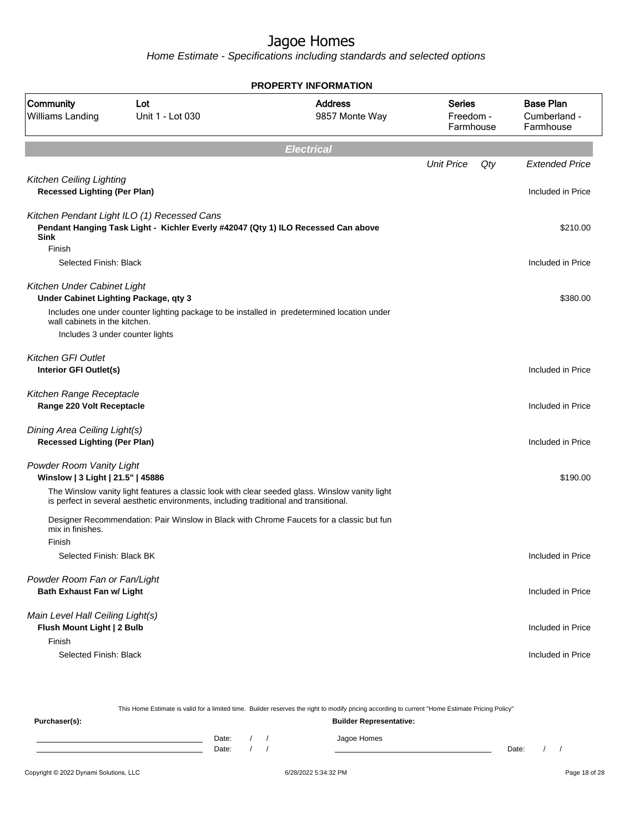| <b>PROPERTY INFORMATION</b>                                              |                                                                                                                                  |                                                                                                |                                  |     |                                               |  |
|--------------------------------------------------------------------------|----------------------------------------------------------------------------------------------------------------------------------|------------------------------------------------------------------------------------------------|----------------------------------|-----|-----------------------------------------------|--|
| Community<br>Williams Landing                                            | Lot<br>Unit 1 - Lot 030                                                                                                          | <b>Address</b><br>9857 Monte Way                                                               | Series<br>Freedom -<br>Farmhouse |     | <b>Base Plan</b><br>Cumberland -<br>Farmhouse |  |
|                                                                          |                                                                                                                                  | <b>Electrical</b>                                                                              |                                  |     |                                               |  |
|                                                                          |                                                                                                                                  |                                                                                                | <b>Unit Price</b>                | Qty | <b>Extended Price</b>                         |  |
| <b>Kitchen Ceiling Lighting</b><br><b>Recessed Lighting (Per Plan)</b>   |                                                                                                                                  |                                                                                                |                                  |     | Included in Price                             |  |
| <b>Sink</b><br>Finish                                                    | Kitchen Pendant Light ILO (1) Recessed Cans<br>Pendant Hanging Task Light - Kichler Everly #42047 (Qty 1) ILO Recessed Can above |                                                                                                |                                  |     | \$210.00                                      |  |
| Selected Finish: Black                                                   |                                                                                                                                  |                                                                                                |                                  |     | Included in Price                             |  |
| Kitchen Under Cabinet Light                                              | Under Cabinet Lighting Package, qty 3                                                                                            |                                                                                                |                                  |     | \$380.00                                      |  |
| wall cabinets in the kitchen.                                            | Includes one under counter lighting package to be installed in predetermined location under                                      |                                                                                                |                                  |     |                                               |  |
|                                                                          | Includes 3 under counter lights                                                                                                  |                                                                                                |                                  |     |                                               |  |
| Kitchen GFI Outlet<br>Interior GFI Outlet(s)                             |                                                                                                                                  |                                                                                                |                                  |     | Included in Price                             |  |
| Kitchen Range Receptacle<br>Range 220 Volt Receptacle                    |                                                                                                                                  |                                                                                                |                                  |     | Included in Price                             |  |
| Dining Area Ceiling Light(s)<br><b>Recessed Lighting (Per Plan)</b>      |                                                                                                                                  |                                                                                                |                                  |     | Included in Price                             |  |
| Powder Room Vanity Light<br>Winslow   3 Light   21.5"   45886            |                                                                                                                                  |                                                                                                |                                  |     | \$190.00                                      |  |
|                                                                          | is perfect in several aesthetic environments, including traditional and transitional.                                            | The Winslow vanity light features a classic look with clear seeded glass. Winslow vanity light |                                  |     |                                               |  |
| mix in finishes.                                                         | Designer Recommendation: Pair Winslow in Black with Chrome Faucets for a classic but fun                                         |                                                                                                |                                  |     |                                               |  |
| Finish<br>Selected Finish: Black BK                                      |                                                                                                                                  |                                                                                                |                                  |     | Included in Price                             |  |
|                                                                          |                                                                                                                                  |                                                                                                |                                  |     |                                               |  |
| Powder Room Fan or Fan/Light<br><b>Bath Exhaust Fan w/ Light</b>         |                                                                                                                                  |                                                                                                |                                  |     | Included in Price                             |  |
| Main Level Hall Ceiling Light(s)<br>Flush Mount Light   2 Bulb<br>Finish |                                                                                                                                  |                                                                                                |                                  |     | Included in Price                             |  |
| Selected Finish: Black                                                   |                                                                                                                                  |                                                                                                |                                  |     | Included in Price                             |  |

|                                        |       |  | This Home Estimate is valid for a limited time. Builder reserves the right to modify pricing according to current "Home Estimate Pricing Policy" |       |  |               |
|----------------------------------------|-------|--|--------------------------------------------------------------------------------------------------------------------------------------------------|-------|--|---------------|
| Purchaser(s):                          |       |  | <b>Builder Representative:</b>                                                                                                                   |       |  |               |
|                                        | Date: |  | Jagoe Homes                                                                                                                                      |       |  |               |
|                                        | Date: |  |                                                                                                                                                  | Date: |  |               |
| Copyright © 2022 Dynami Solutions, LLC |       |  | 6/28/2022 5:34:32 PM                                                                                                                             |       |  | Page 18 of 28 |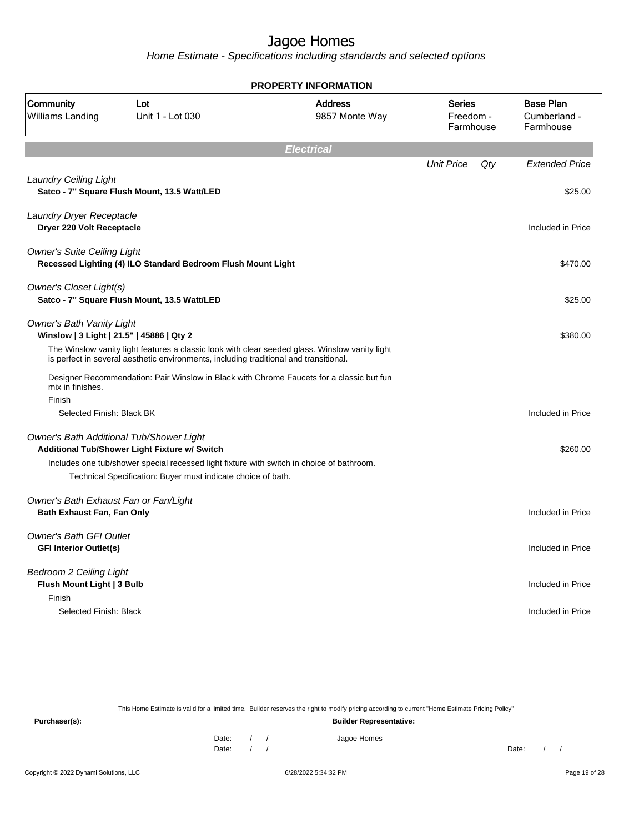Home Estimate - Specifications including standards and selected options

| <b>PROPERTY INFORMATION</b>                                                   |                                                                                                                                                                                                                                                        |                                                                                                |                                  |                                               |  |
|-------------------------------------------------------------------------------|--------------------------------------------------------------------------------------------------------------------------------------------------------------------------------------------------------------------------------------------------------|------------------------------------------------------------------------------------------------|----------------------------------|-----------------------------------------------|--|
| Community<br>Williams Landing                                                 | Lot<br>Unit 1 - Lot 030                                                                                                                                                                                                                                | <b>Address</b><br>9857 Monte Way                                                               | Series<br>Freedom -<br>Farmhouse | <b>Base Plan</b><br>Cumberland -<br>Farmhouse |  |
|                                                                               |                                                                                                                                                                                                                                                        | <b>Electrical</b>                                                                              |                                  |                                               |  |
|                                                                               |                                                                                                                                                                                                                                                        |                                                                                                | <b>Unit Price</b><br>Qty         | <b>Extended Price</b>                         |  |
| <b>Laundry Ceiling Light</b>                                                  | Satco - 7" Square Flush Mount, 13.5 Watt/LED                                                                                                                                                                                                           |                                                                                                |                                  | \$25.00                                       |  |
| Laundry Dryer Receptacle<br>Dryer 220 Volt Receptacle                         |                                                                                                                                                                                                                                                        |                                                                                                |                                  | Included in Price                             |  |
| <b>Owner's Suite Ceiling Light</b>                                            | Recessed Lighting (4) ILO Standard Bedroom Flush Mount Light                                                                                                                                                                                           |                                                                                                |                                  | \$470.00                                      |  |
| <b>Owner's Closet Light(s)</b>                                                | Satco - 7" Square Flush Mount, 13.5 Watt/LED                                                                                                                                                                                                           |                                                                                                |                                  | \$25.00                                       |  |
| <b>Owner's Bath Vanity Light</b><br>Winslow   3 Light   21.5"   45886   Qty 2 |                                                                                                                                                                                                                                                        |                                                                                                |                                  | \$380.00                                      |  |
|                                                                               | is perfect in several aesthetic environments, including traditional and transitional.                                                                                                                                                                  | The Winslow vanity light features a classic look with clear seeded glass. Winslow vanity light |                                  |                                               |  |
| mix in finishes.                                                              |                                                                                                                                                                                                                                                        | Designer Recommendation: Pair Winslow in Black with Chrome Faucets for a classic but fun       |                                  |                                               |  |
| Finish                                                                        |                                                                                                                                                                                                                                                        |                                                                                                |                                  |                                               |  |
| Selected Finish: Black BK                                                     |                                                                                                                                                                                                                                                        |                                                                                                |                                  | Included in Price                             |  |
|                                                                               | Owner's Bath Additional Tub/Shower Light<br>Additional Tub/Shower Light Fixture w/ Switch<br>Includes one tub/shower special recessed light fixture with switch in choice of bathroom.<br>Technical Specification: Buyer must indicate choice of bath. |                                                                                                |                                  | \$260.00                                      |  |
| Owner's Bath Exhaust Fan or Fan/Light<br>Bath Exhaust Fan, Fan Only           |                                                                                                                                                                                                                                                        |                                                                                                |                                  | Included in Price                             |  |
| <b>Owner's Bath GFI Outlet</b><br><b>GFI Interior Outlet(s)</b>               |                                                                                                                                                                                                                                                        |                                                                                                |                                  | Included in Price                             |  |
| <b>Bedroom 2 Ceiling Light</b><br>Flush Mount Light   3 Bulb<br>Finish        |                                                                                                                                                                                                                                                        |                                                                                                |                                  | Included in Price                             |  |
| Selected Finish: Black                                                        |                                                                                                                                                                                                                                                        |                                                                                                |                                  | Included in Price                             |  |
|                                                                               |                                                                                                                                                                                                                                                        |                                                                                                |                                  |                                               |  |

This Home Estimate is valid for a limited time. Builder reserves the right to modify pricing according to current "Home Estimate Pricing Policy" **Purchaser(s): Builder Representative:** Date: / / Jagoe Homes<br>Date: / / Jagoe Homes Date: / / Date: / /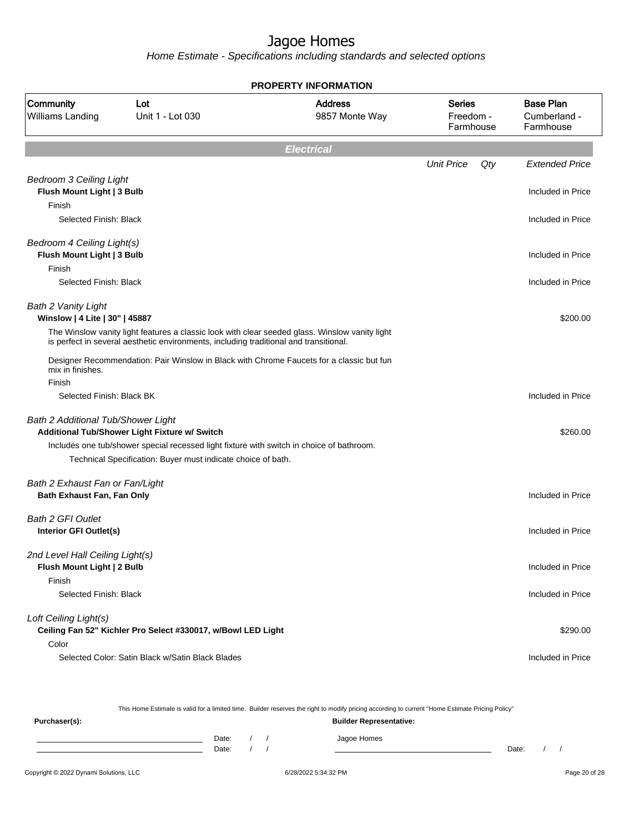Home Estimate - Specifications including standards and selected options

|                                                                        |                                                                                                                                                                                         | <b>PROPERTY INFORMATION</b>      |                                         |                                               |
|------------------------------------------------------------------------|-----------------------------------------------------------------------------------------------------------------------------------------------------------------------------------------|----------------------------------|-----------------------------------------|-----------------------------------------------|
| Community<br>Williams Landing                                          | Lot<br>Unit 1 - Lot 030                                                                                                                                                                 | <b>Address</b><br>9857 Monte Way | <b>Series</b><br>Freedom -<br>Farmhouse | <b>Base Plan</b><br>Cumberland -<br>Farmhouse |
|                                                                        |                                                                                                                                                                                         | <b>Electrical</b>                |                                         |                                               |
|                                                                        |                                                                                                                                                                                         |                                  | <b>Unit Price</b><br>Qty                | <b>Extended Price</b>                         |
| <b>Bedroom 3 Ceiling Light</b><br>Flush Mount Light   3 Bulb<br>Finish |                                                                                                                                                                                         |                                  |                                         | Included in Price                             |
| Selected Finish: Black                                                 |                                                                                                                                                                                         |                                  |                                         | Included in Price                             |
| Bedroom 4 Ceiling Light(s)<br>Flush Mount Light   3 Bulb               |                                                                                                                                                                                         |                                  |                                         | Included in Price                             |
| Finish                                                                 |                                                                                                                                                                                         |                                  |                                         |                                               |
| Selected Finish: Black                                                 |                                                                                                                                                                                         |                                  |                                         | Included in Price                             |
| <b>Bath 2 Vanity Light</b><br>Winslow   4 Lite   30"   45887           |                                                                                                                                                                                         |                                  |                                         | \$200.00                                      |
|                                                                        | The Winslow vanity light features a classic look with clear seeded glass. Winslow vanity light<br>is perfect in several aesthetic environments, including traditional and transitional. |                                  |                                         |                                               |
| mix in finishes.<br>Finish                                             | Designer Recommendation: Pair Winslow in Black with Chrome Faucets for a classic but fun                                                                                                |                                  |                                         |                                               |
| Selected Finish: Black BK                                              |                                                                                                                                                                                         |                                  |                                         | Included in Price                             |
| Bath 2 Additional Tub/Shower Light                                     | Additional Tub/Shower Light Fixture w/ Switch                                                                                                                                           |                                  |                                         | \$260.00                                      |
|                                                                        | Includes one tub/shower special recessed light fixture with switch in choice of bathroom.<br>Technical Specification: Buyer must indicate choice of bath.                               |                                  |                                         |                                               |
| Bath 2 Exhaust Fan or Fan/Light<br><b>Bath Exhaust Fan, Fan Only</b>   |                                                                                                                                                                                         |                                  |                                         | Included in Price                             |
| <b>Bath 2 GFI Outlet</b><br>Interior GFI Outlet(s)                     |                                                                                                                                                                                         |                                  |                                         | Included in Price                             |
| 2nd Level Hall Ceiling Light(s)<br>Flush Mount Light   2 Bulb          |                                                                                                                                                                                         |                                  |                                         | Included in Price                             |
| Finish<br>Selected Finish: Black                                       |                                                                                                                                                                                         |                                  |                                         | Included in Price                             |
| Loft Ceiling Light(s)                                                  | Ceiling Fan 52" Kichler Pro Select #330017, w/Bowl LED Light                                                                                                                            |                                  |                                         | \$290.00                                      |
| Color                                                                  | Selected Color: Satin Black w/Satin Black Blades                                                                                                                                        |                                  |                                         | Included in Price                             |

This Home Estimate is valid for a limited time. Builder reserves the right to modify pricing according to current "Home Estimate Pricing Policy"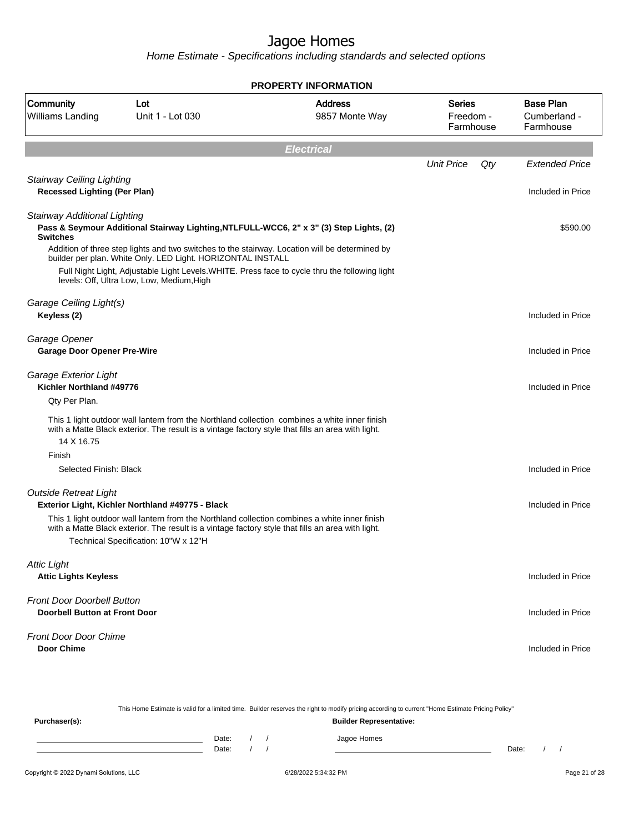|                                                                           |                                                                                                                                                                                                                                            | <b>PROPERTY INFORMATION</b>      |                                         |     |                                               |
|---------------------------------------------------------------------------|--------------------------------------------------------------------------------------------------------------------------------------------------------------------------------------------------------------------------------------------|----------------------------------|-----------------------------------------|-----|-----------------------------------------------|
| Community<br>Williams Landing                                             | Lot<br>Unit 1 - Lot 030                                                                                                                                                                                                                    | <b>Address</b><br>9857 Monte Way | <b>Series</b><br>Freedom -<br>Farmhouse |     | <b>Base Plan</b><br>Cumberland -<br>Farmhouse |
|                                                                           |                                                                                                                                                                                                                                            | <b>Electrical</b>                |                                         |     |                                               |
|                                                                           |                                                                                                                                                                                                                                            |                                  | <b>Unit Price</b>                       | Qty | <b>Extended Price</b>                         |
| <b>Stairway Ceiling Lighting</b><br><b>Recessed Lighting (Per Plan)</b>   |                                                                                                                                                                                                                                            |                                  |                                         |     | Included in Price                             |
| Stairway Additional Lighting<br><b>Switches</b>                           | Pass & Seymour Additional Stairway Lighting, NTLFULL-WCC6, 2" x 3" (3) Step Lights, (2)<br>Addition of three step lights and two switches to the stairway. Location will be determined by                                                  |                                  |                                         |     | \$590.00                                      |
|                                                                           | builder per plan. White Only. LED Light. HORIZONTAL INSTALL<br>Full Night Light, Adjustable Light Levels. WHITE. Press face to cycle thru the following light<br>levels: Off, Ultra Low, Low, Medium, High                                 |                                  |                                         |     |                                               |
| Garage Ceiling Light(s)<br>Keyless (2)                                    |                                                                                                                                                                                                                                            |                                  |                                         |     | Included in Price                             |
| Garage Opener<br><b>Garage Door Opener Pre-Wire</b>                       |                                                                                                                                                                                                                                            |                                  |                                         |     | Included in Price                             |
| Garage Exterior Light<br>Kichler Northland #49776<br>Qty Per Plan.        |                                                                                                                                                                                                                                            |                                  |                                         |     | Included in Price                             |
| 14 X 16.75                                                                | This 1 light outdoor wall lantern from the Northland collection combines a white inner finish<br>with a Matte Black exterior. The result is a vintage factory style that fills an area with light.                                         |                                  |                                         |     |                                               |
| Finish<br>Selected Finish: Black                                          |                                                                                                                                                                                                                                            |                                  |                                         |     | Included in Price                             |
| <b>Outside Retreat Light</b>                                              | Exterior Light, Kichler Northland #49775 - Black                                                                                                                                                                                           |                                  |                                         |     | Included in Price                             |
|                                                                           | This 1 light outdoor wall lantern from the Northland collection combines a white inner finish<br>with a Matte Black exterior. The result is a vintage factory style that fills an area with light.<br>Technical Specification: 10"W x 12"H |                                  |                                         |     |                                               |
| <b>Attic Light</b><br><b>Attic Lights Keyless</b>                         |                                                                                                                                                                                                                                            |                                  |                                         |     | Included in Price                             |
| <b>Front Door Doorbell Button</b><br><b>Doorbell Button at Front Door</b> |                                                                                                                                                                                                                                            |                                  |                                         |     | Included in Price                             |
| <b>Front Door Door Chime</b><br><b>Door Chime</b>                         |                                                                                                                                                                                                                                            |                                  |                                         |     | Included in Price                             |
|                                                                           |                                                                                                                                                                                                                                            |                                  |                                         |     |                                               |

|               |       |  | This Home Estimate is valid for a limited time. Builder reserves the right to modify pricing according to current "Home Estimate Pricing Policy" |       |  |
|---------------|-------|--|--------------------------------------------------------------------------------------------------------------------------------------------------|-------|--|
| Purchaser(s): |       |  | <b>Builder Representative:</b>                                                                                                                   |       |  |
|               | Date: |  | Jagoe Homes                                                                                                                                      |       |  |
|               | Date: |  |                                                                                                                                                  | Date: |  |
|               |       |  |                                                                                                                                                  |       |  |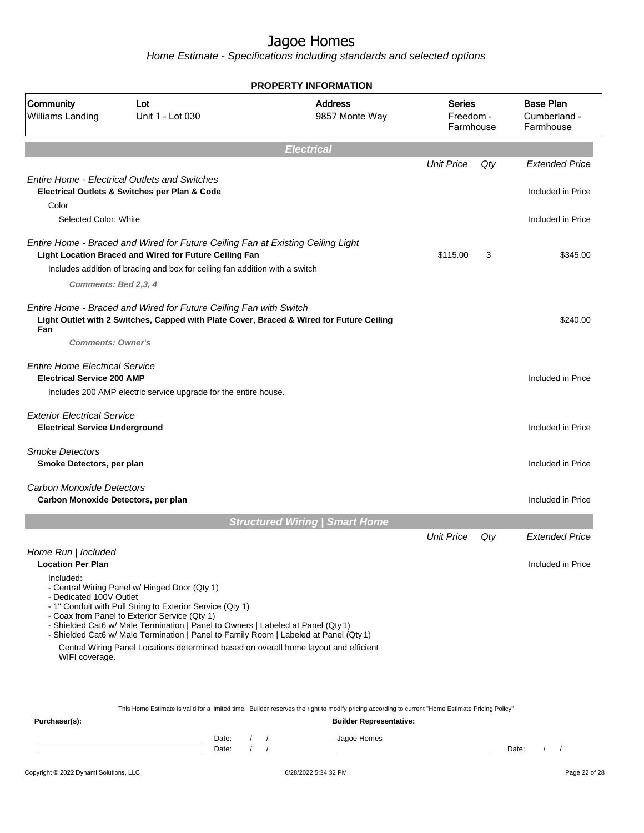Home Estimate - Specifications including standards and selected options

|                                                                             | <b>PROPERTY INFORMATION</b>                                                                                                                                                                                                                                                                                                                                                                                                      |                                                                                                                                                                                    |                                         |     |                                               |  |
|-----------------------------------------------------------------------------|----------------------------------------------------------------------------------------------------------------------------------------------------------------------------------------------------------------------------------------------------------------------------------------------------------------------------------------------------------------------------------------------------------------------------------|------------------------------------------------------------------------------------------------------------------------------------------------------------------------------------|-----------------------------------------|-----|-----------------------------------------------|--|
| Community<br>Williams Landing                                               | Lot<br>Unit 1 - Lot 030                                                                                                                                                                                                                                                                                                                                                                                                          | <b>Address</b><br>9857 Monte Way                                                                                                                                                   | <b>Series</b><br>Freedom -<br>Farmhouse |     | <b>Base Plan</b><br>Cumberland -<br>Farmhouse |  |
|                                                                             |                                                                                                                                                                                                                                                                                                                                                                                                                                  | <b>Electrical</b>                                                                                                                                                                  |                                         |     |                                               |  |
|                                                                             |                                                                                                                                                                                                                                                                                                                                                                                                                                  |                                                                                                                                                                                    | <b>Unit Price</b>                       | Qty | <b>Extended Price</b>                         |  |
|                                                                             | <b>Entire Home - Electrical Outlets and Switches</b><br>Electrical Outlets & Switches per Plan & Code                                                                                                                                                                                                                                                                                                                            |                                                                                                                                                                                    |                                         |     | Included in Price                             |  |
| Color<br>Selected Color: White                                              |                                                                                                                                                                                                                                                                                                                                                                                                                                  |                                                                                                                                                                                    |                                         |     | Included in Price                             |  |
|                                                                             | Entire Home - Braced and Wired for Future Ceiling Fan at Existing Ceiling Light<br>Light Location Braced and Wired for Future Ceiling Fan                                                                                                                                                                                                                                                                                        |                                                                                                                                                                                    | \$115.00                                | 3   | \$345.00                                      |  |
|                                                                             | Includes addition of bracing and box for ceiling fan addition with a switch                                                                                                                                                                                                                                                                                                                                                      |                                                                                                                                                                                    |                                         |     |                                               |  |
| Comments: Bed 2,3, 4                                                        |                                                                                                                                                                                                                                                                                                                                                                                                                                  |                                                                                                                                                                                    |                                         |     |                                               |  |
| Fan<br><b>Comments: Owner's</b>                                             | Entire Home - Braced and Wired for Future Ceiling Fan with Switch                                                                                                                                                                                                                                                                                                                                                                | Light Outlet with 2 Switches, Capped with Plate Cover, Braced & Wired for Future Ceiling                                                                                           |                                         |     | \$240.00                                      |  |
|                                                                             |                                                                                                                                                                                                                                                                                                                                                                                                                                  |                                                                                                                                                                                    |                                         |     |                                               |  |
| <b>Fntire Home Flectrical Service</b><br><b>Electrical Service 200 AMP</b>  |                                                                                                                                                                                                                                                                                                                                                                                                                                  |                                                                                                                                                                                    |                                         |     | Included in Price                             |  |
|                                                                             | Includes 200 AMP electric service upgrade for the entire house.                                                                                                                                                                                                                                                                                                                                                                  |                                                                                                                                                                                    |                                         |     |                                               |  |
| <b>Exterior Electrical Service</b><br><b>Electrical Service Underground</b> |                                                                                                                                                                                                                                                                                                                                                                                                                                  |                                                                                                                                                                                    |                                         |     | Included in Price                             |  |
| <b>Smoke Detectors</b><br>Smoke Detectors, per plan                         |                                                                                                                                                                                                                                                                                                                                                                                                                                  |                                                                                                                                                                                    |                                         |     | Included in Price                             |  |
| Carbon Monoxide Detectors<br>Carbon Monoxide Detectors, per plan            |                                                                                                                                                                                                                                                                                                                                                                                                                                  |                                                                                                                                                                                    |                                         |     | Included in Price                             |  |
|                                                                             |                                                                                                                                                                                                                                                                                                                                                                                                                                  | <b>Structured Wiring   Smart Home</b>                                                                                                                                              |                                         |     |                                               |  |
|                                                                             |                                                                                                                                                                                                                                                                                                                                                                                                                                  |                                                                                                                                                                                    | <b>Unit Price</b>                       | Qty | <b>Extended Price</b>                         |  |
| Home Run   Included<br><b>Location Per Plan</b>                             |                                                                                                                                                                                                                                                                                                                                                                                                                                  |                                                                                                                                                                                    |                                         |     | Included in Price                             |  |
| Included:<br>- Dedicated 100V Outlet<br>WIFI coverage.                      | - Central Wiring Panel w/ Hinged Door (Qty 1)<br>- 1" Conduit with Pull String to Exterior Service (Qty 1)<br>- Coax from Panel to Exterior Service (Qty 1)<br>- Shielded Cat6 w/ Male Termination   Panel to Owners   Labeled at Panel (Qty 1)<br>- Shielded Cat6 w/ Male Termination   Panel to Family Room   Labeled at Panel (Qty 1)<br>Central Wiring Panel Locations determined based on overall home layout and efficient |                                                                                                                                                                                    |                                         |     |                                               |  |
| Purchaser(s):                                                               |                                                                                                                                                                                                                                                                                                                                                                                                                                  | This Home Estimate is valid for a limited time. Builder reserves the right to modify pricing according to current "Home Estimate Pricing Policy"<br><b>Builder Representative:</b> |                                         |     |                                               |  |

Date: / / Jagoe Homes<br>Date: / / Jagoe Homes Date: / /  $\overline{\phantom{a}}$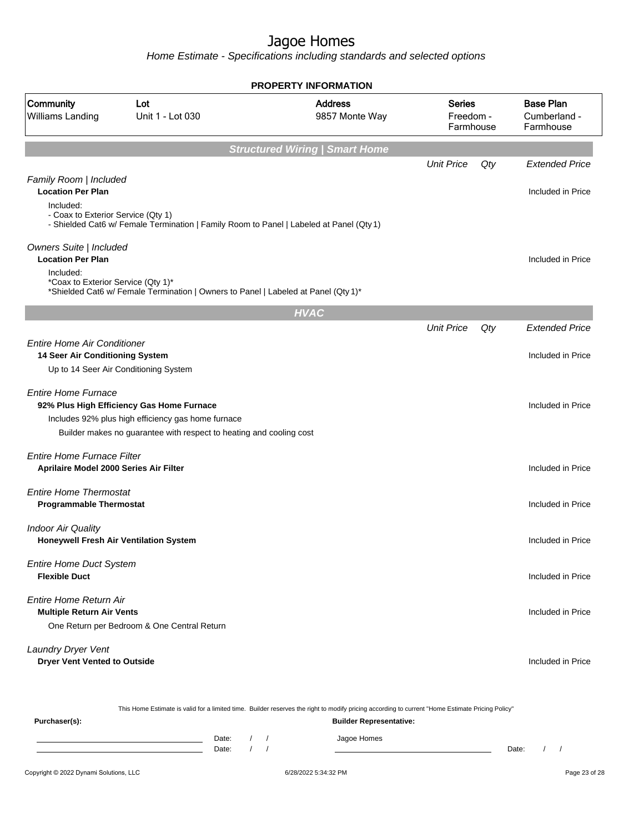Home Estimate - Specifications including standards and selected options

|                                                                                                       |                                                                                                                                                                        | <b>PROPERTY INFORMATION</b>           |                                  |     |                                               |
|-------------------------------------------------------------------------------------------------------|------------------------------------------------------------------------------------------------------------------------------------------------------------------------|---------------------------------------|----------------------------------|-----|-----------------------------------------------|
| Community<br>Williams Landing                                                                         | Lot<br>Unit 1 - Lot 030                                                                                                                                                | <b>Address</b><br>9857 Monte Way      | Series<br>Freedom -<br>Farmhouse |     | <b>Base Plan</b><br>Cumberland -<br>Farmhouse |
|                                                                                                       |                                                                                                                                                                        | <b>Structured Wiring   Smart Home</b> |                                  |     |                                               |
|                                                                                                       |                                                                                                                                                                        |                                       | <b>Unit Price</b>                | Qty | <b>Extended Price</b>                         |
| Family Room   Included<br><b>Location Per Plan</b><br>Included:<br>- Coax to Exterior Service (Qty 1) | - Shielded Cat6 w/ Female Termination   Family Room to Panel   Labeled at Panel (Qty 1)                                                                                |                                       |                                  |     | Included in Price                             |
| Owners Suite   Included<br><b>Location Per Plan</b><br>Included:                                      |                                                                                                                                                                        |                                       |                                  |     | Included in Price                             |
| *Coax to Exterior Service (Qty 1)*                                                                    | *Shielded Cat6 w/ Female Termination   Owners to Panel   Labeled at Panel (Qty 1)*                                                                                     |                                       |                                  |     |                                               |
|                                                                                                       |                                                                                                                                                                        | <b>HVAC</b>                           |                                  |     |                                               |
|                                                                                                       |                                                                                                                                                                        |                                       | <b>Unit Price</b>                | Qty | <b>Extended Price</b>                         |
| <b>Entire Home Air Conditioner</b><br>14 Seer Air Conditioning System                                 | Up to 14 Seer Air Conditioning System                                                                                                                                  |                                       |                                  |     | Included in Price                             |
| <b>Entire Home Furnace</b>                                                                            | 92% Plus High Efficiency Gas Home Furnace<br>Includes 92% plus high efficiency gas home furnace<br>Builder makes no guarantee with respect to heating and cooling cost |                                       |                                  |     | Included in Price                             |
| Entire Home Furnace Filter<br>Aprilaire Model 2000 Series Air Filter                                  |                                                                                                                                                                        |                                       |                                  |     | Included in Price                             |
| <b>Entire Home Thermostat</b><br><b>Programmable Thermostat</b>                                       |                                                                                                                                                                        |                                       |                                  |     | Included in Price                             |
| <b>Indoor Air Quality</b><br>Honeywell Fresh Air Ventilation System                                   |                                                                                                                                                                        |                                       |                                  |     | Included in Price                             |
| <b>Entire Home Duct System</b><br><b>Flexible Duct</b>                                                |                                                                                                                                                                        |                                       |                                  |     | Included in Price                             |
| Entire Home Return Air<br><b>Multiple Return Air Vents</b>                                            | One Return per Bedroom & One Central Return                                                                                                                            |                                       |                                  |     | Included in Price                             |
| Laundry Dryer Vent<br><b>Dryer Vent Vented to Outside</b>                                             |                                                                                                                                                                        |                                       |                                  |     | Included in Price                             |
|                                                                                                       |                                                                                                                                                                        |                                       |                                  |     |                                               |

This Home Estimate is valid for a limited time. Builder reserves the right to modify pricing according to current "Home Estimate Pricing Policy"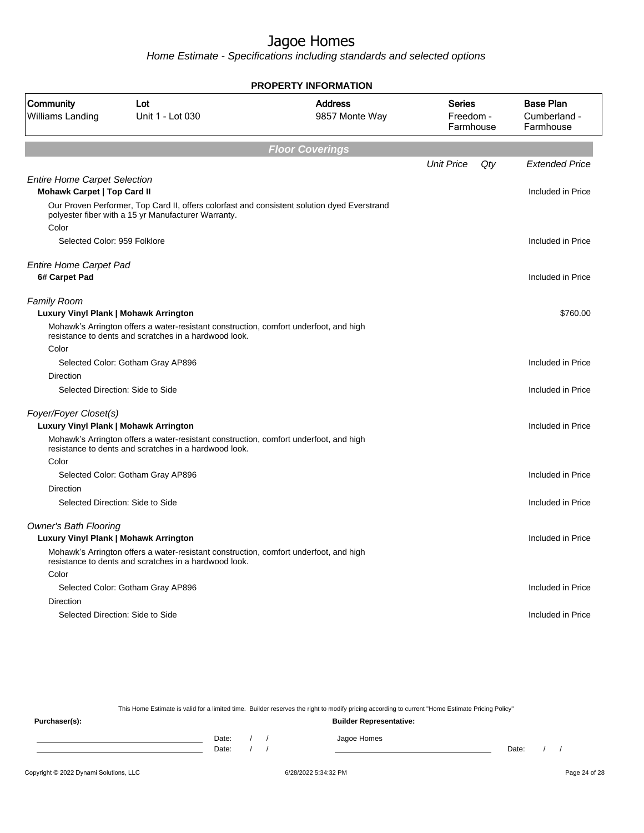Home Estimate - Specifications including standards and selected options

|                                                                           |                                                                                                                                                    | <b>PROPERTY INFORMATION</b>      |                                         |                                               |
|---------------------------------------------------------------------------|----------------------------------------------------------------------------------------------------------------------------------------------------|----------------------------------|-----------------------------------------|-----------------------------------------------|
| Community<br>Williams Landing                                             | Lot<br>Unit 1 - Lot 030                                                                                                                            | <b>Address</b><br>9857 Monte Way | <b>Series</b><br>Freedom -<br>Farmhouse | <b>Base Plan</b><br>Cumberland -<br>Farmhouse |
|                                                                           |                                                                                                                                                    | <b>Floor Coverings</b>           |                                         |                                               |
|                                                                           |                                                                                                                                                    |                                  | <b>Unit Price</b><br>Qty                | <b>Extended Price</b>                         |
| <b>Entire Home Carpet Selection</b><br><b>Mohawk Carpet   Top Card II</b> |                                                                                                                                                    |                                  |                                         | Included in Price                             |
|                                                                           | Our Proven Performer, Top Card II, offers colorfast and consistent solution dyed Everstrand<br>polyester fiber with a 15 yr Manufacturer Warranty. |                                  |                                         |                                               |
| Color                                                                     |                                                                                                                                                    |                                  |                                         |                                               |
| Selected Color: 959 Folklore                                              |                                                                                                                                                    |                                  |                                         | Included in Price                             |
| <b>Entire Home Carpet Pad</b>                                             |                                                                                                                                                    |                                  |                                         |                                               |
| 6# Carpet Pad                                                             |                                                                                                                                                    |                                  |                                         | Included in Price                             |
|                                                                           |                                                                                                                                                    |                                  |                                         |                                               |
| <b>Family Room</b><br>Luxury Vinyl Plank   Mohawk Arrington               |                                                                                                                                                    |                                  |                                         | \$760.00                                      |
|                                                                           | Mohawk's Arrington offers a water-resistant construction, comfort underfoot, and high                                                              |                                  |                                         |                                               |
|                                                                           | resistance to dents and scratches in a hardwood look.                                                                                              |                                  |                                         |                                               |
| Color                                                                     |                                                                                                                                                    |                                  |                                         |                                               |
|                                                                           | Selected Color: Gotham Gray AP896                                                                                                                  |                                  |                                         | Included in Price                             |
| Direction                                                                 |                                                                                                                                                    |                                  |                                         |                                               |
|                                                                           | Selected Direction: Side to Side                                                                                                                   |                                  |                                         | Included in Price                             |
| Foyer/Foyer Closet(s)                                                     |                                                                                                                                                    |                                  |                                         |                                               |
| Luxury Vinyl Plank   Mohawk Arrington                                     |                                                                                                                                                    |                                  |                                         | Included in Price                             |
|                                                                           | Mohawk's Arrington offers a water-resistant construction, comfort underfoot, and high<br>resistance to dents and scratches in a hardwood look.     |                                  |                                         |                                               |
| Color                                                                     |                                                                                                                                                    |                                  |                                         |                                               |
|                                                                           | Selected Color: Gotham Gray AP896                                                                                                                  |                                  |                                         | Included in Price                             |
| <b>Direction</b>                                                          |                                                                                                                                                    |                                  |                                         |                                               |
|                                                                           | Selected Direction: Side to Side                                                                                                                   |                                  |                                         | Included in Price                             |
| <b>Owner's Bath Flooring</b>                                              |                                                                                                                                                    |                                  |                                         |                                               |
| Luxury Vinyl Plank   Mohawk Arrington                                     |                                                                                                                                                    |                                  |                                         | Included in Price                             |
|                                                                           | Mohawk's Arrington offers a water-resistant construction, comfort underfoot, and high<br>resistance to dents and scratches in a hardwood look.     |                                  |                                         |                                               |
| Color                                                                     |                                                                                                                                                    |                                  |                                         |                                               |
|                                                                           | Selected Color: Gotham Gray AP896                                                                                                                  |                                  |                                         | Included in Price                             |
| Direction                                                                 |                                                                                                                                                    |                                  |                                         |                                               |
|                                                                           | Selected Direction: Side to Side                                                                                                                   |                                  |                                         | Included in Price                             |
|                                                                           |                                                                                                                                                    |                                  |                                         |                                               |

This Home Estimate is valid for a limited time. Builder reserves the right to modify pricing according to current "Home Estimate Pricing Policy"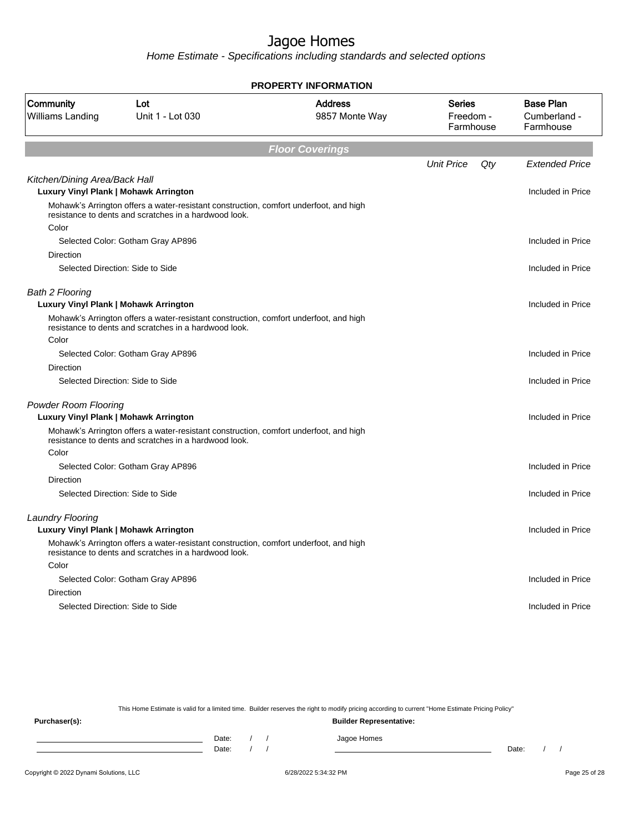Home Estimate - Specifications including standards and selected options

|                                      |                                                                                                                                                | <b>PROPERTY INFORMATION</b>      |                                  |     |                                               |
|--------------------------------------|------------------------------------------------------------------------------------------------------------------------------------------------|----------------------------------|----------------------------------|-----|-----------------------------------------------|
| Community<br><b>Williams Landing</b> | Lot<br>Unit 1 - Lot 030                                                                                                                        | <b>Address</b><br>9857 Monte Way | Series<br>Freedom -<br>Farmhouse |     | <b>Base Plan</b><br>Cumberland -<br>Farmhouse |
|                                      |                                                                                                                                                | <b>Floor Coverings</b>           |                                  |     |                                               |
|                                      |                                                                                                                                                |                                  | <b>Unit Price</b>                | Qty | <b>Extended Price</b>                         |
| Kitchen/Dining Area/Back Hall        | Luxury Vinyl Plank   Mohawk Arrington                                                                                                          |                                  |                                  |     | Included in Price                             |
|                                      | Mohawk's Arrington offers a water-resistant construction, comfort underfoot, and high<br>resistance to dents and scratches in a hardwood look. |                                  |                                  |     |                                               |
| Color                                |                                                                                                                                                |                                  |                                  |     |                                               |
|                                      | Selected Color: Gotham Gray AP896                                                                                                              |                                  |                                  |     | Included in Price                             |
| Direction                            | Selected Direction: Side to Side                                                                                                               |                                  |                                  |     | Included in Price                             |
|                                      |                                                                                                                                                |                                  |                                  |     |                                               |
| <b>Bath 2 Flooring</b>               | Luxury Vinyl Plank   Mohawk Arrington                                                                                                          |                                  |                                  |     | Included in Price                             |
|                                      | Mohawk's Arrington offers a water-resistant construction, comfort underfoot, and high<br>resistance to dents and scratches in a hardwood look. |                                  |                                  |     |                                               |
| Color                                |                                                                                                                                                |                                  |                                  |     |                                               |
|                                      | Selected Color: Gotham Gray AP896                                                                                                              |                                  |                                  |     | Included in Price                             |
| <b>Direction</b>                     |                                                                                                                                                |                                  |                                  |     |                                               |
|                                      | Selected Direction: Side to Side                                                                                                               |                                  |                                  |     | Included in Price                             |
| <b>Powder Room Flooring</b>          |                                                                                                                                                |                                  |                                  |     |                                               |
|                                      | Luxury Vinyl Plank   Mohawk Arrington                                                                                                          |                                  |                                  |     | Included in Price                             |
|                                      | Mohawk's Arrington offers a water-resistant construction, comfort underfoot, and high<br>resistance to dents and scratches in a hardwood look. |                                  |                                  |     |                                               |
| Color                                |                                                                                                                                                |                                  |                                  |     |                                               |
|                                      | Selected Color: Gotham Gray AP896                                                                                                              |                                  |                                  |     | Included in Price                             |
| Direction                            |                                                                                                                                                |                                  |                                  |     |                                               |
|                                      | Selected Direction: Side to Side                                                                                                               |                                  |                                  |     | Included in Price                             |
| <b>Laundry Flooring</b>              |                                                                                                                                                |                                  |                                  |     |                                               |
|                                      | Luxury Vinyl Plank   Mohawk Arrington                                                                                                          |                                  |                                  |     | Included in Price                             |
|                                      | Mohawk's Arrington offers a water-resistant construction, comfort underfoot, and high<br>resistance to dents and scratches in a hardwood look. |                                  |                                  |     |                                               |
| Color                                |                                                                                                                                                |                                  |                                  |     |                                               |
|                                      | Selected Color: Gotham Gray AP896                                                                                                              |                                  |                                  |     | Included in Price                             |
| <b>Direction</b>                     |                                                                                                                                                |                                  |                                  |     |                                               |
|                                      | Selected Direction: Side to Side                                                                                                               |                                  |                                  |     | Included in Price                             |
|                                      |                                                                                                                                                |                                  |                                  |     |                                               |

This Home Estimate is valid for a limited time. Builder reserves the right to modify pricing according to current "Home Estimate Pricing Policy"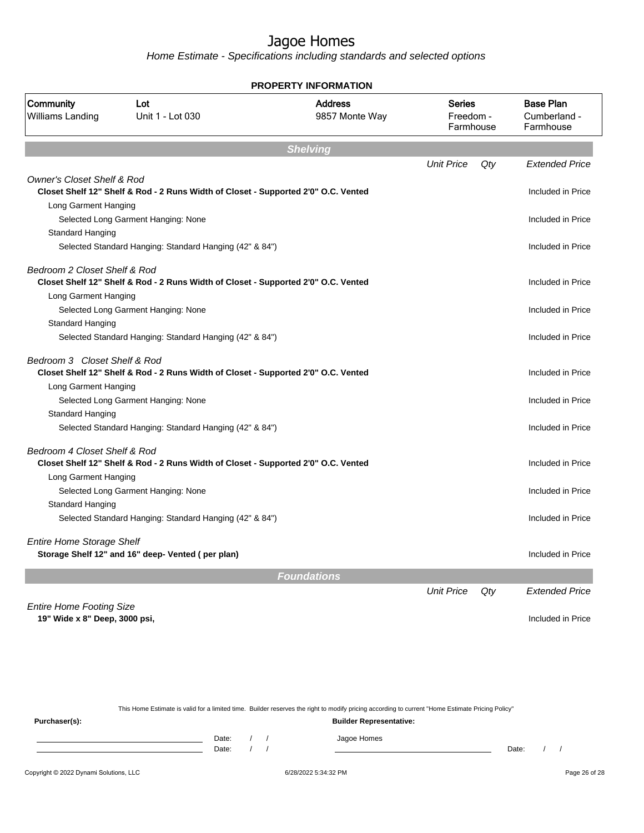Home Estimate - Specifications including standards and selected options

|                                       |                                                                                    | <b>PROPERTY INFORMATION</b>      |                                         |     |                                               |
|---------------------------------------|------------------------------------------------------------------------------------|----------------------------------|-----------------------------------------|-----|-----------------------------------------------|
| Community<br>Williams Landing         | Lot<br>Unit 1 - Lot 030                                                            | <b>Address</b><br>9857 Monte Way | <b>Series</b><br>Freedom -<br>Farmhouse |     | <b>Base Plan</b><br>Cumberland -<br>Farmhouse |
|                                       |                                                                                    | <b>Shelving</b>                  |                                         |     |                                               |
|                                       |                                                                                    |                                  | <b>Unit Price</b>                       | Qty | <b>Extended Price</b>                         |
| <b>Owner's Closet Shelf &amp; Rod</b> | Closet Shelf 12" Shelf & Rod - 2 Runs Width of Closet - Supported 2'0" O.C. Vented |                                  |                                         |     | Included in Price                             |
| Long Garment Hanging                  |                                                                                    |                                  |                                         |     |                                               |
|                                       | Selected Long Garment Hanging: None                                                |                                  |                                         |     | Included in Price                             |
| <b>Standard Hanging</b>               |                                                                                    |                                  |                                         |     |                                               |
|                                       | Selected Standard Hanging: Standard Hanging (42" & 84")                            |                                  |                                         |     | Included in Price                             |
| Bedroom 2 Closet Shelf & Rod          |                                                                                    |                                  |                                         |     |                                               |
|                                       | Closet Shelf 12" Shelf & Rod - 2 Runs Width of Closet - Supported 2'0" O.C. Vented |                                  |                                         |     | Included in Price                             |
| Long Garment Hanging                  |                                                                                    |                                  |                                         |     |                                               |
|                                       | Selected Long Garment Hanging: None                                                |                                  |                                         |     | Included in Price                             |
| Standard Hanging                      | Selected Standard Hanging: Standard Hanging (42" & 84")                            |                                  |                                         |     | Included in Price                             |
|                                       |                                                                                    |                                  |                                         |     |                                               |
| Bedroom 3 Closet Shelf & Rod          | Closet Shelf 12" Shelf & Rod - 2 Runs Width of Closet - Supported 2'0" O.C. Vented |                                  |                                         |     | Included in Price                             |
| Long Garment Hanging                  |                                                                                    |                                  |                                         |     |                                               |
|                                       | Selected Long Garment Hanging: None                                                |                                  |                                         |     | Included in Price                             |
| Standard Hanging                      |                                                                                    |                                  |                                         |     |                                               |
|                                       | Selected Standard Hanging: Standard Hanging (42" & 84")                            |                                  |                                         |     | Included in Price                             |
| Bedroom 4 Closet Shelf & Rod          |                                                                                    |                                  |                                         |     |                                               |
|                                       | Closet Shelf 12" Shelf & Rod - 2 Runs Width of Closet - Supported 2'0" O.C. Vented |                                  |                                         |     | Included in Price                             |
| Long Garment Hanging                  |                                                                                    |                                  |                                         |     |                                               |
|                                       | Selected Long Garment Hanging: None                                                |                                  |                                         |     | Included in Price                             |
| <b>Standard Hanging</b>               |                                                                                    |                                  |                                         |     |                                               |
|                                       | Selected Standard Hanging: Standard Hanging (42" & 84")                            |                                  |                                         |     | Included in Price                             |
| <b>Entire Home Storage Shelf</b>      |                                                                                    |                                  |                                         |     |                                               |
|                                       | Storage Shelf 12" and 16" deep- Vented (per plan)                                  |                                  |                                         |     | Included in Price                             |
|                                       |                                                                                    | <b>Foundations</b>               |                                         |     |                                               |
|                                       |                                                                                    |                                  | <b>Unit Price</b>                       | Qty | <b>Extended Price</b>                         |
| <b>Entire Home Footing Size</b>       |                                                                                    |                                  |                                         |     |                                               |
| 19" Wide x 8" Deep, 3000 psi,         |                                                                                    |                                  |                                         |     | Included in Price                             |
|                                       |                                                                                    |                                  |                                         |     |                                               |
|                                       |                                                                                    |                                  |                                         |     |                                               |

This Home Estimate is valid for a limited time. Builder reserves the right to modify pricing according to current "Home Estimate Pricing Policy"

**Purchaser(s): Builder Representative:** Date: / / Jagoe Homes<br>Date: / / Jagoe Homes Date: / / **Date: / / 2006** Date: / / / Date: / / / Date: / / / 2006 Date: / / / 2006 Date: / / / 2006 Date: / / / 2006 Date: / / / 2007 Date: / / / 2007 Date: / / / 2007 Date: / / / 2007 Date: / / / 2007 Date: / / / 2007 D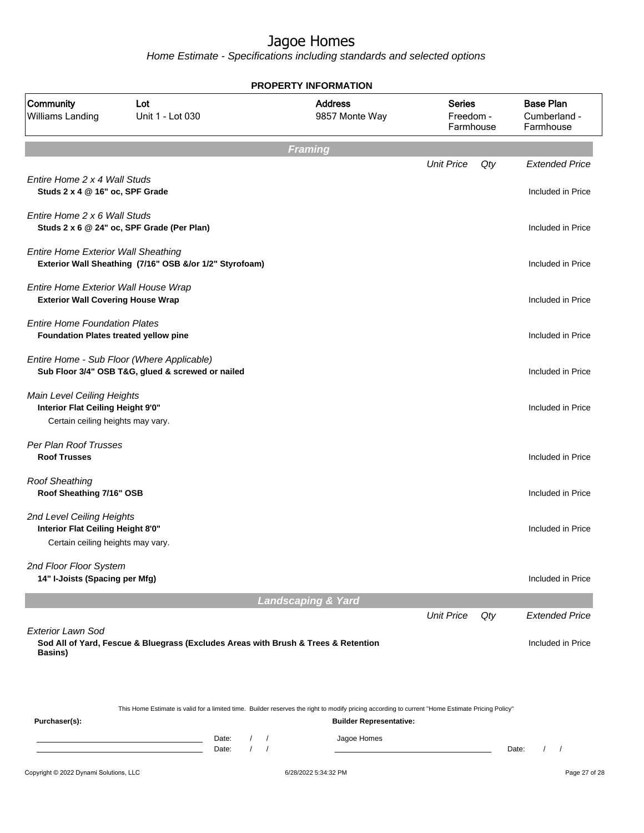|                                                                                                             |                                                                                                 |                                                                    | <b>PROPERTY INFORMATION</b>                                                                                                                                                        |                                         |     |                                               |
|-------------------------------------------------------------------------------------------------------------|-------------------------------------------------------------------------------------------------|--------------------------------------------------------------------|------------------------------------------------------------------------------------------------------------------------------------------------------------------------------------|-----------------------------------------|-----|-----------------------------------------------|
| Community<br><b>Williams Landing</b>                                                                        | Lot<br>Unit 1 - Lot 030                                                                         |                                                                    | <b>Address</b><br>9857 Monte Way                                                                                                                                                   | <b>Series</b><br>Freedom -<br>Farmhouse |     | <b>Base Plan</b><br>Cumberland -<br>Farmhouse |
|                                                                                                             |                                                                                                 |                                                                    | <b>Framing</b>                                                                                                                                                                     |                                         |     |                                               |
| Entire Home 2 x 4 Wall Studs<br>Studs 2 x 4 @ 16" oc, SPF Grade                                             |                                                                                                 |                                                                    |                                                                                                                                                                                    | <b>Unit Price</b>                       | Qty | <b>Extended Price</b><br>Included in Price    |
| Entire Home 2 x 6 Wall Studs                                                                                | Studs 2 x 6 @ 24" oc, SPF Grade (Per Plan)                                                      |                                                                    |                                                                                                                                                                                    |                                         |     | Included in Price                             |
| <b>Entire Home Exterior Wall Sheathing</b>                                                                  | Exterior Wall Sheathing (7/16" OSB &/or 1/2" Styrofoam)                                         |                                                                    |                                                                                                                                                                                    |                                         |     | Included in Price                             |
| Entire Home Exterior Wall House Wrap<br><b>Exterior Wall Covering House Wrap</b>                            |                                                                                                 |                                                                    |                                                                                                                                                                                    |                                         |     | Included in Price                             |
| <b>Entire Home Foundation Plates</b><br>Foundation Plates treated yellow pine                               |                                                                                                 |                                                                    |                                                                                                                                                                                    |                                         |     | Included in Price                             |
|                                                                                                             | Entire Home - Sub Floor (Where Applicable)<br>Sub Floor 3/4" OSB T&G, glued & screwed or nailed |                                                                    |                                                                                                                                                                                    |                                         |     | Included in Price                             |
| <b>Main Level Ceiling Heights</b><br>Interior Flat Ceiling Height 9'0"<br>Certain ceiling heights may vary. |                                                                                                 |                                                                    |                                                                                                                                                                                    |                                         |     | Included in Price                             |
| Per Plan Roof Trusses<br><b>Roof Trusses</b>                                                                |                                                                                                 |                                                                    |                                                                                                                                                                                    |                                         |     | Included in Price                             |
| <b>Roof Sheathing</b><br>Roof Sheathing 7/16" OSB                                                           |                                                                                                 |                                                                    |                                                                                                                                                                                    |                                         |     | Included in Price                             |
| 2nd Level Ceiling Heights<br>Interior Flat Ceiling Height 8'0"<br>Certain ceiling heights may vary.         |                                                                                                 |                                                                    |                                                                                                                                                                                    |                                         |     | Included in Price                             |
| 2nd Floor Floor System<br>14" I-Joists (Spacing per Mfg)                                                    |                                                                                                 |                                                                    |                                                                                                                                                                                    |                                         |     | Included in Price                             |
|                                                                                                             |                                                                                                 |                                                                    | <b>Landscaping &amp; Yard</b>                                                                                                                                                      |                                         |     |                                               |
| <b>Exterior Lawn Sod</b>                                                                                    |                                                                                                 |                                                                    |                                                                                                                                                                                    | <b>Unit Price</b>                       | Qty | <b>Extended Price</b>                         |
| <b>Basins</b> )                                                                                             | Sod All of Yard, Fescue & Bluegrass (Excludes Areas with Brush & Trees & Retention              |                                                                    |                                                                                                                                                                                    |                                         |     | Included in Price                             |
| Purchaser(s):                                                                                               |                                                                                                 |                                                                    | This Home Estimate is valid for a limited time. Builder reserves the right to modify pricing according to current "Home Estimate Pricing Policy"<br><b>Builder Representative:</b> |                                         |     |                                               |
|                                                                                                             |                                                                                                 | Date:<br>$\sqrt{2}$<br>$\prime$<br>$\sqrt{ }$<br>Date:<br>$\prime$ | Jagoe Homes                                                                                                                                                                        |                                         |     | Date:<br>$\prime$                             |
| Copyright © 2022 Dynami Solutions, LLC                                                                      |                                                                                                 |                                                                    | 6/28/2022 5:34:32 PM                                                                                                                                                               |                                         |     | Page 27 of 28                                 |